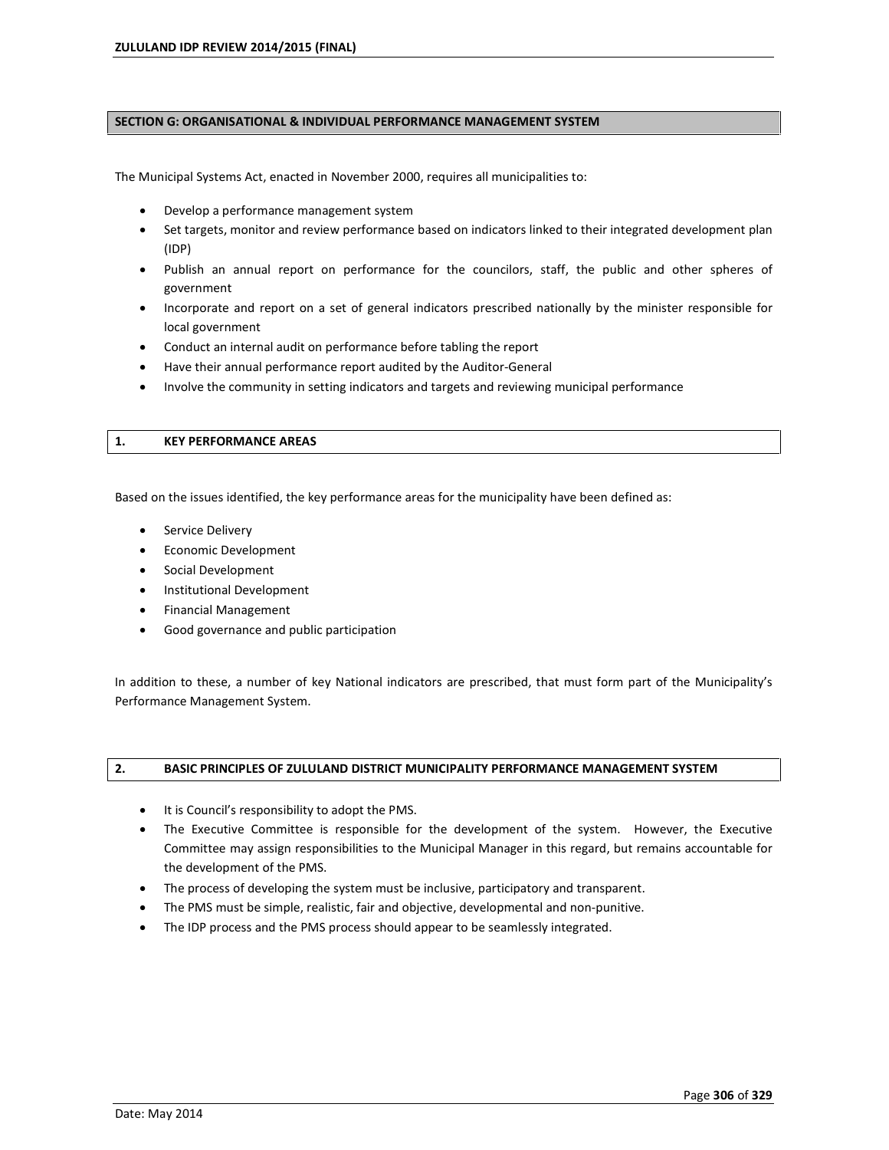#### **SECTION G: ORGANISATIONAL & INDIVIDUAL PERFORMANCE MANAGEMENT SYSTEM**

The Municipal Systems Act, enacted in November 2000, requires all municipalities to:

- Develop a performance management system
- Set targets, monitor and review performance based on indicators linked to their integrated development plan (IDP)
- Publish an annual report on performance for the councilors, staff, the public and other spheres of government
- Incorporate and report on a set of general indicators prescribed nationally by the minister responsible for local government
- Conduct an internal audit on performance before tabling the report
- Have their annual performance report audited by the Auditor-General
- Involve the community in setting indicators and targets and reviewing municipal performance

#### **1. KEY PERFORMANCE AREAS**

Based on the issues identified, the key performance areas for the municipality have been defined as:

- **•** Service Delivery
- Economic Development
- Social Development
- Institutional Development
- Financial Management
- Good governance and public participation

In addition to these, a number of key National indicators are prescribed, that must form part of the Municipalityís Performance Management System.

### **2. BASIC PRINCIPLES OF ZULULAND DISTRICT MUNICIPALITY PERFORMANCE MANAGEMENT SYSTEM**

- It is Council's responsibility to adopt the PMS.
- The Executive Committee is responsible for the development of the system. However, the Executive Committee may assign responsibilities to the Municipal Manager in this regard, but remains accountable for the development of the PMS.
- The process of developing the system must be inclusive, participatory and transparent.
- The PMS must be simple, realistic, fair and objective, developmental and non-punitive.
- The IDP process and the PMS process should appear to be seamlessly integrated.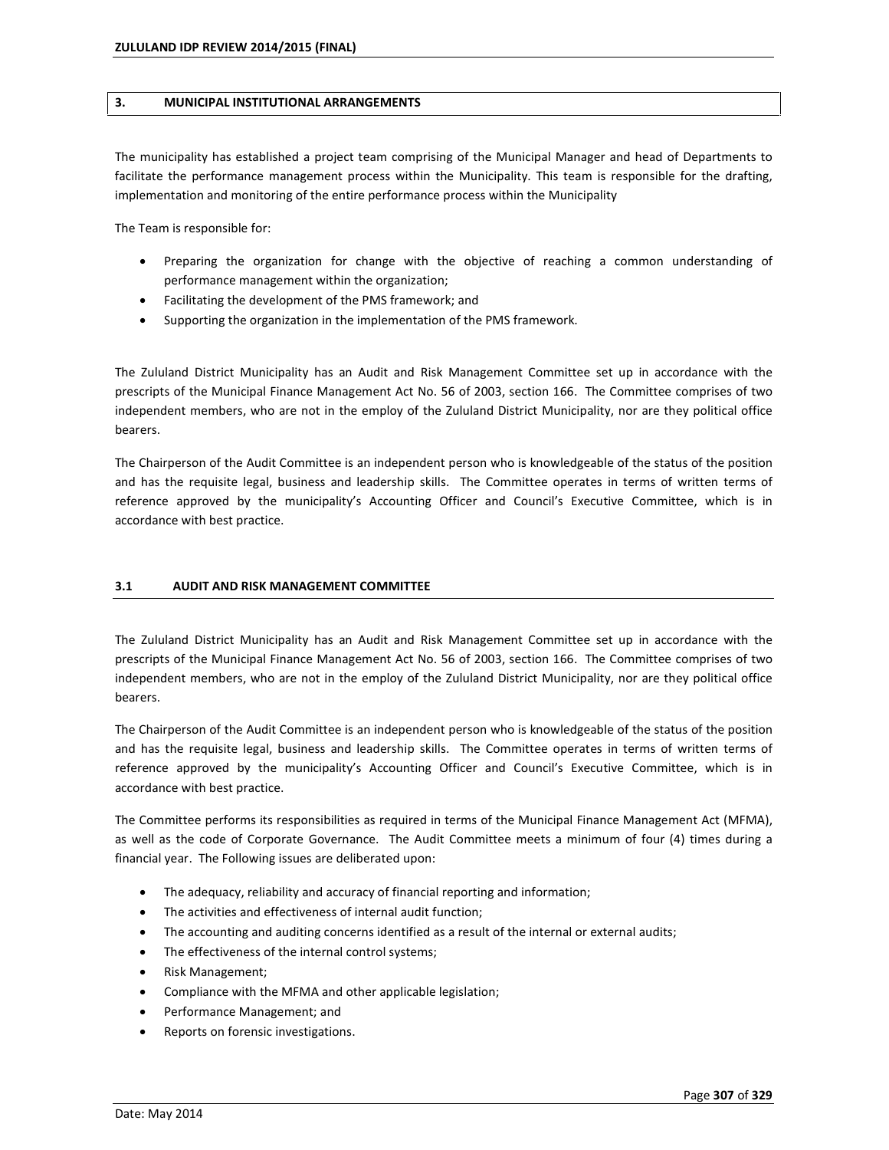#### **3. MUNICIPAL INSTITUTIONAL ARRANGEMENTS**

The municipality has established a project team comprising of the Municipal Manager and head of Departments to facilitate the performance management process within the Municipality. This team is responsible for the drafting, implementation and monitoring of the entire performance process within the Municipality

The Team is responsible for:

- Preparing the organization for change with the objective of reaching a common understanding of performance management within the organization;
- Facilitating the development of the PMS framework; and
- Supporting the organization in the implementation of the PMS framework.

The Zululand District Municipality has an Audit and Risk Management Committee set up in accordance with the prescripts of the Municipal Finance Management Act No. 56 of 2003, section 166. The Committee comprises of two independent members, who are not in the employ of the Zululand District Municipality, nor are they political office bearers.

The Chairperson of the Audit Committee is an independent person who is knowledgeable of the status of the position and has the requisite legal, business and leadership skills. The Committee operates in terms of written terms of reference approved by the municipality's Accounting Officer and Council's Executive Committee, which is in accordance with best practice.

### **3.1 AUDIT AND RISK MANAGEMENT COMMITTEE**

The Zululand District Municipality has an Audit and Risk Management Committee set up in accordance with the prescripts of the Municipal Finance Management Act No. 56 of 2003, section 166. The Committee comprises of two independent members, who are not in the employ of the Zululand District Municipality, nor are they political office bearers.

The Chairperson of the Audit Committee is an independent person who is knowledgeable of the status of the position and has the requisite legal, business and leadership skills. The Committee operates in terms of written terms of reference approved by the municipalityís Accounting Officer and Councilís Executive Committee, which is in accordance with best practice.

The Committee performs its responsibilities as required in terms of the Municipal Finance Management Act (MFMA), as well as the code of Corporate Governance. The Audit Committee meets a minimum of four (4) times during a financial year. The Following issues are deliberated upon:

- The adequacy, reliability and accuracy of financial reporting and information;
- The activities and effectiveness of internal audit function;
- The accounting and auditing concerns identified as a result of the internal or external audits;
- The effectiveness of the internal control systems;
- Risk Management;
- Compliance with the MFMA and other applicable legislation;
- Performance Management; and
- Reports on forensic investigations.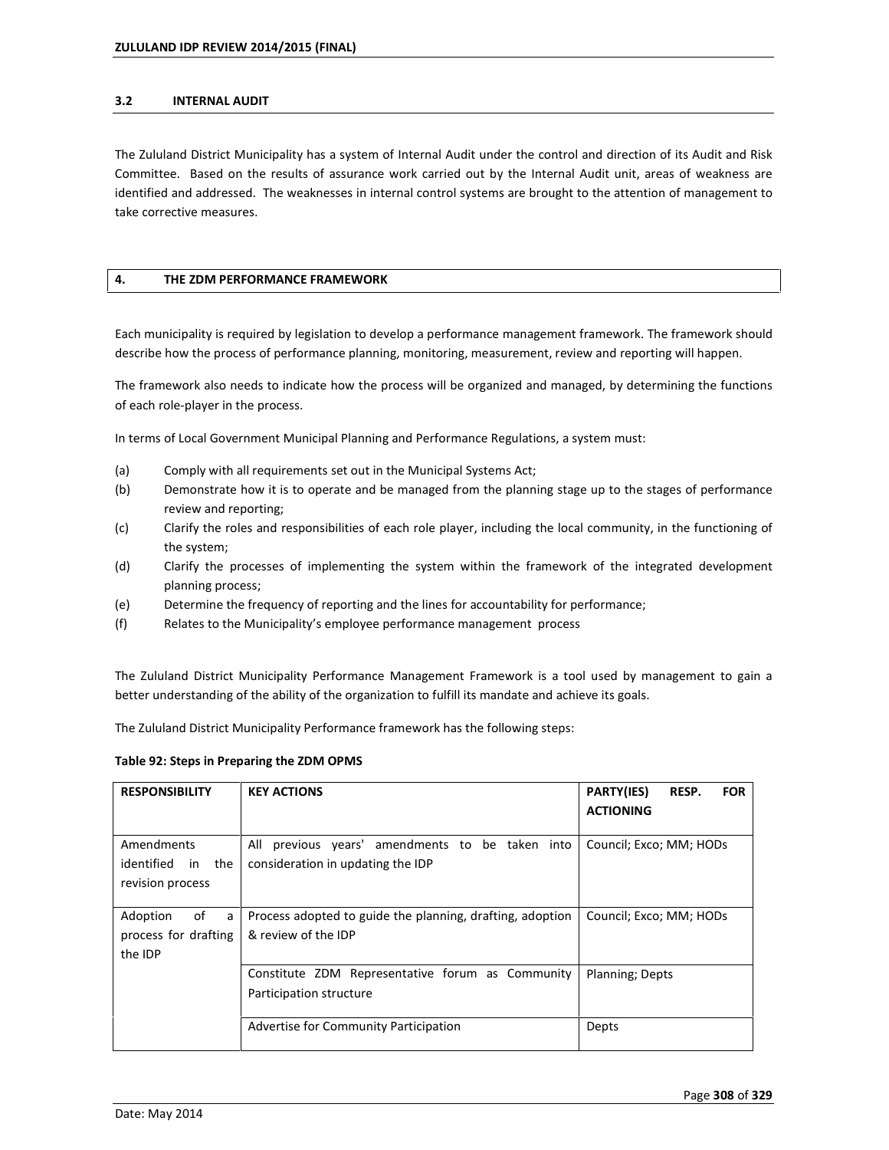#### **3.2 INTERNAL AUDIT**

The Zululand District Municipality has a system of Internal Audit under the control and direction of its Audit and Risk Committee. Based on the results of assurance work carried out by the Internal Audit unit, areas of weakness are identified and addressed. The weaknesses in internal control systems are brought to the attention of management to take corrective measures.

### **4. THE ZDM PERFORMANCE FRAMEWORK**

Each municipality is required by legislation to develop a performance management framework. The framework should describe how the process of performance planning, monitoring, measurement, review and reporting will happen.

The framework also needs to indicate how the process will be organized and managed, by determining the functions of each role-player in the process.

In terms of Local Government Municipal Planning and Performance Regulations, a system must:

- (a) Comply with all requirements set out in the Municipal Systems Act;
- (b) Demonstrate how it is to operate and be managed from the planning stage up to the stages of performance review and reporting;
- (c) Clarify the roles and responsibilities of each role player, including the local community, in the functioning of the system;
- (d) Clarify the processes of implementing the system within the framework of the integrated development planning process;
- (e) Determine the frequency of reporting and the lines for accountability for performance;
- (f) Relates to the Municipalityís employee performance management process

The Zululand District Municipality Performance Management Framework is a tool used by management to gain a better understanding of the ability of the organization to fulfill its mandate and achieve its goals.

The Zululand District Municipality Performance framework has the following steps:

#### **Table 92: Steps in Preparing the ZDM OPMS**

| <b>RESPONSIBILITY</b>                                  | <b>KEY ACTIONS</b>                                                                      | PARTY(IES)<br>RESP.<br><b>FOR</b><br><b>ACTIONING</b> |
|--------------------------------------------------------|-----------------------------------------------------------------------------------------|-------------------------------------------------------|
| Amendments<br>identified in the<br>revision process    | All<br>previous years' amendments to be taken into<br>consideration in updating the IDP | Council; Exco; MM; HODs                               |
| Adoption<br>of<br>a<br>process for drafting<br>the IDP | Process adopted to guide the planning, drafting, adoption<br>& review of the IDP        | Council; Exco; MM; HODs                               |
|                                                        | Constitute ZDM Representative forum as Community<br>Participation structure             | Planning; Depts                                       |
|                                                        | Advertise for Community Participation                                                   | Depts                                                 |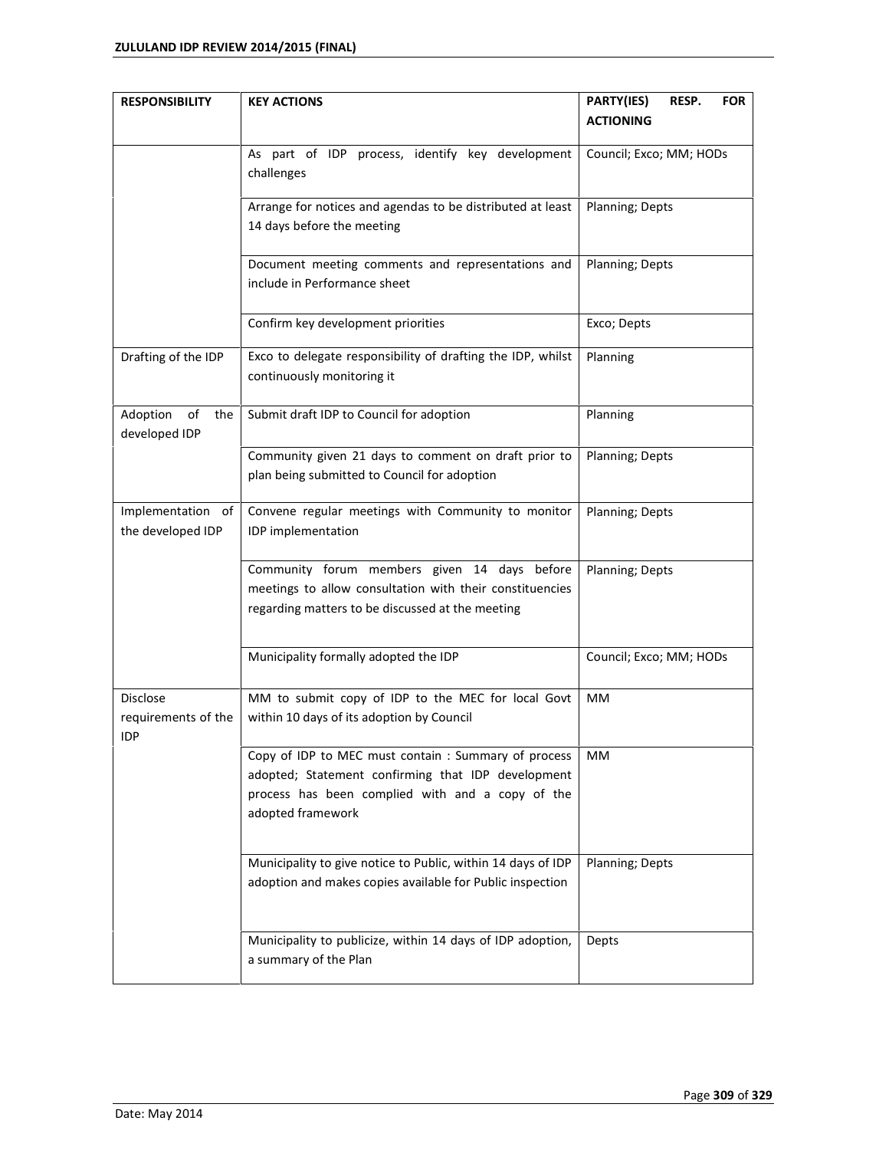| <b>RESPONSIBILITY</b> | <b>KEY ACTIONS</b>                                                                                     | PARTY(IES)<br>RESP.<br><b>FOR</b> |
|-----------------------|--------------------------------------------------------------------------------------------------------|-----------------------------------|
|                       |                                                                                                        | <b>ACTIONING</b>                  |
|                       | As part of IDP process, identify key development                                                       | Council; Exco; MM; HODs           |
|                       | challenges                                                                                             |                                   |
|                       | Arrange for notices and agendas to be distributed at least                                             | Planning; Depts                   |
|                       | 14 days before the meeting                                                                             |                                   |
|                       | Document meeting comments and representations and                                                      | Planning; Depts                   |
|                       | include in Performance sheet                                                                           |                                   |
|                       | Confirm key development priorities                                                                     | Exco; Depts                       |
| Drafting of the IDP   | Exco to delegate responsibility of drafting the IDP, whilst                                            | Planning                          |
|                       | continuously monitoring it                                                                             |                                   |
| Adoption<br>of<br>the | Submit draft IDP to Council for adoption                                                               | Planning                          |
| developed IDP         |                                                                                                        |                                   |
|                       | Community given 21 days to comment on draft prior to                                                   | Planning; Depts                   |
|                       | plan being submitted to Council for adoption                                                           |                                   |
| Implementation of     | Convene regular meetings with Community to monitor                                                     | Planning; Depts                   |
| the developed IDP     | IDP implementation                                                                                     |                                   |
|                       | Community forum members given 14 days before                                                           | Planning; Depts                   |
|                       | meetings to allow consultation with their constituencies                                               |                                   |
|                       | regarding matters to be discussed at the meeting                                                       |                                   |
|                       | Municipality formally adopted the IDP                                                                  | Council; Exco; MM; HODs           |
| Disclose              | MM to submit copy of IDP to the MEC for local Govt                                                     | MM                                |
| requirements of the   | within 10 days of its adoption by Council                                                              |                                   |
| IDP                   |                                                                                                        |                                   |
|                       | Copy of IDP to MEC must contain : Summary of process                                                   | MМ                                |
|                       | adopted; Statement confirming that IDP development<br>process has been complied with and a copy of the |                                   |
|                       | adopted framework                                                                                      |                                   |
|                       |                                                                                                        |                                   |
|                       | Municipality to give notice to Public, within 14 days of IDP                                           | Planning; Depts                   |
|                       | adoption and makes copies available for Public inspection                                              |                                   |
|                       | Municipality to publicize, within 14 days of IDP adoption,                                             | Depts                             |
|                       | a summary of the Plan                                                                                  |                                   |
|                       |                                                                                                        |                                   |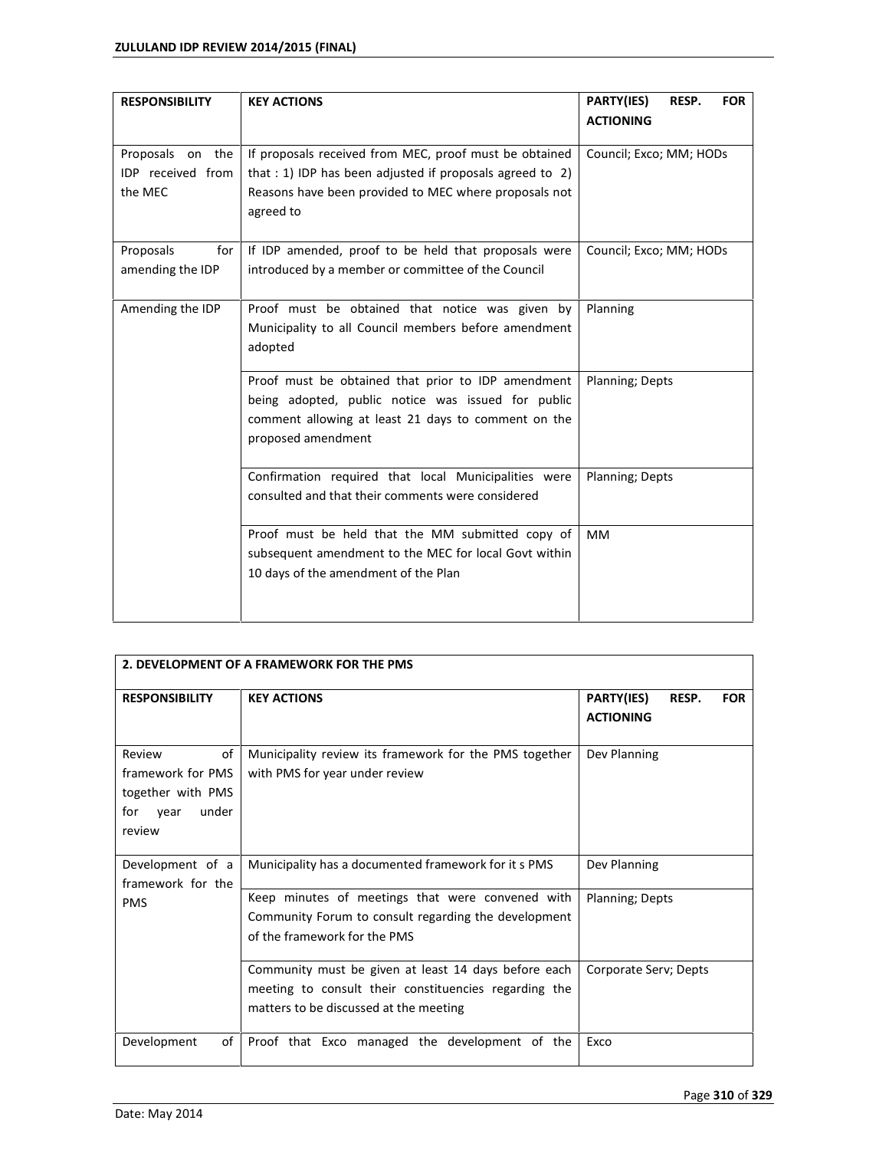| <b>RESPONSIBILITY</b>                            | <b>KEY ACTIONS</b>                                                                                                                                                                        | PARTY(IES)<br>RESP.<br><b>FOR</b><br><b>ACTIONING</b> |
|--------------------------------------------------|-------------------------------------------------------------------------------------------------------------------------------------------------------------------------------------------|-------------------------------------------------------|
| Proposals on the<br>IDP received from<br>the MEC | If proposals received from MEC, proof must be obtained<br>that : 1) IDP has been adjusted if proposals agreed to 2)<br>Reasons have been provided to MEC where proposals not<br>agreed to | Council; Exco; MM; HODs                               |
| Proposals<br>for<br>amending the IDP             | If IDP amended, proof to be held that proposals were<br>introduced by a member or committee of the Council                                                                                | Council; Exco; MM; HODs                               |
| Amending the IDP                                 | Proof must be obtained that notice was given by<br>Municipality to all Council members before amendment<br>adopted                                                                        | Planning                                              |
|                                                  | Proof must be obtained that prior to IDP amendment<br>being adopted, public notice was issued for public<br>comment allowing at least 21 days to comment on the<br>proposed amendment     | Planning; Depts                                       |
|                                                  | Confirmation required that local Municipalities were<br>consulted and that their comments were considered                                                                                 | Planning; Depts                                       |
|                                                  | Proof must be held that the MM submitted copy of<br>subsequent amendment to the MEC for local Govt within<br>10 days of the amendment of the Plan                                         | <b>MM</b>                                             |

|                                                                                          | 2. DEVELOPMENT OF A FRAMEWORK FOR THE PMS                                                                                                               |                                                              |  |
|------------------------------------------------------------------------------------------|---------------------------------------------------------------------------------------------------------------------------------------------------------|--------------------------------------------------------------|--|
| <b>RESPONSIBILITY</b>                                                                    | <b>KEY ACTIONS</b>                                                                                                                                      | <b>PARTY(IES)</b><br>RESP.<br><b>FOR</b><br><b>ACTIONING</b> |  |
| of<br>Review<br>framework for PMS<br>together with PMS<br>under<br>for<br>vear<br>review | Municipality review its framework for the PMS together<br>with PMS for year under review                                                                | Dev Planning                                                 |  |
| Development of a<br>framework for the                                                    | Municipality has a documented framework for it s PMS                                                                                                    | Dev Planning                                                 |  |
| <b>PMS</b>                                                                               | Keep minutes of meetings that were convened with<br>Community Forum to consult regarding the development<br>of the framework for the PMS                | Planning; Depts                                              |  |
|                                                                                          | Community must be given at least 14 days before each<br>meeting to consult their constituencies regarding the<br>matters to be discussed at the meeting | Corporate Serv; Depts                                        |  |
| Development<br>of                                                                        | Proof that Exco managed the development of the                                                                                                          | Exco                                                         |  |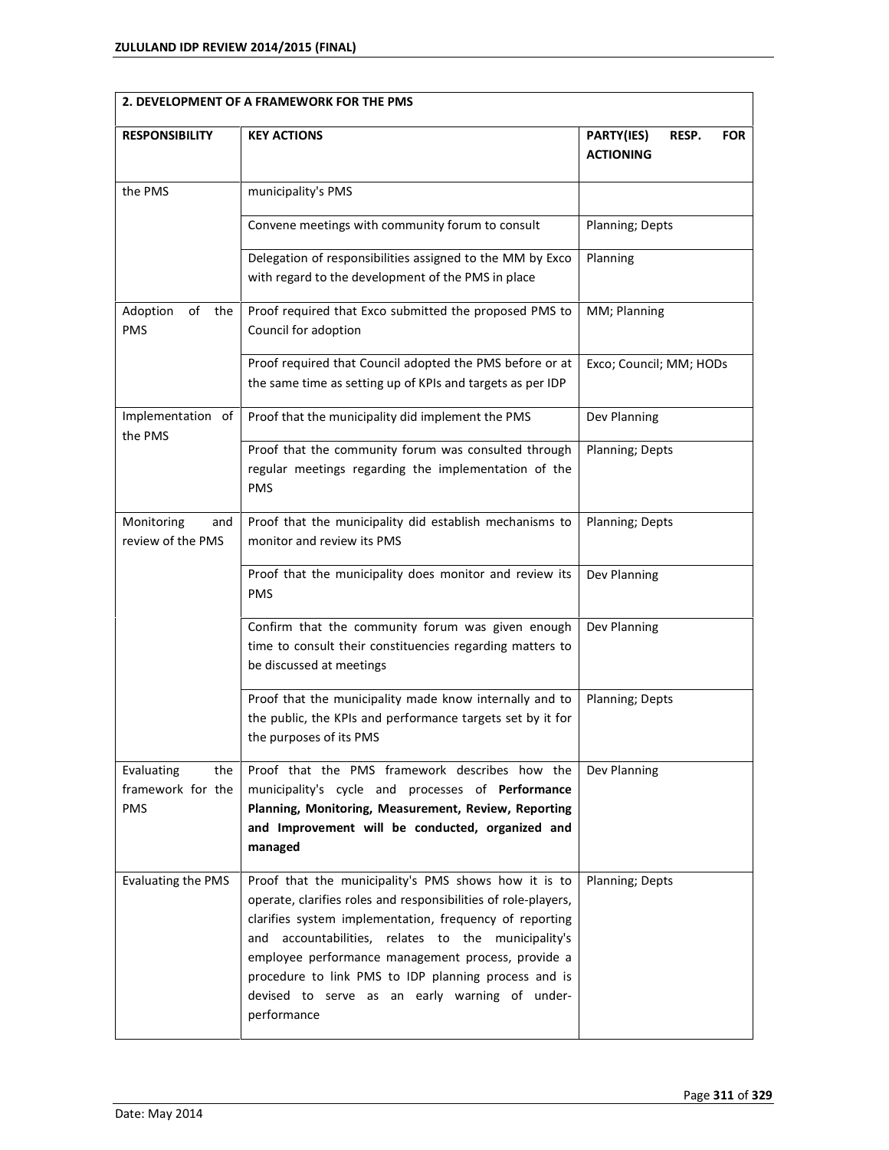| 2. DEVELOPMENT OF A FRAMEWORK FOR THE PMS            |                                                                                                                                                                                                                                                                                                                                                                                                                            |                                                       |  |
|------------------------------------------------------|----------------------------------------------------------------------------------------------------------------------------------------------------------------------------------------------------------------------------------------------------------------------------------------------------------------------------------------------------------------------------------------------------------------------------|-------------------------------------------------------|--|
| <b>RESPONSIBILITY</b>                                | <b>KEY ACTIONS</b>                                                                                                                                                                                                                                                                                                                                                                                                         | PARTY(IES)<br>RESP.<br><b>FOR</b><br><b>ACTIONING</b> |  |
| the PMS                                              | municipality's PMS                                                                                                                                                                                                                                                                                                                                                                                                         |                                                       |  |
|                                                      | Convene meetings with community forum to consult                                                                                                                                                                                                                                                                                                                                                                           | Planning; Depts                                       |  |
|                                                      | Delegation of responsibilities assigned to the MM by Exco<br>with regard to the development of the PMS in place                                                                                                                                                                                                                                                                                                            | Planning                                              |  |
| Adoption<br>οf<br>the<br>PMS                         | Proof required that Exco submitted the proposed PMS to<br>Council for adoption                                                                                                                                                                                                                                                                                                                                             | MM; Planning                                          |  |
|                                                      | Proof required that Council adopted the PMS before or at<br>the same time as setting up of KPIs and targets as per IDP                                                                                                                                                                                                                                                                                                     | Exco; Council; MM; HODs                               |  |
| Implementation of<br>the PMS                         | Proof that the municipality did implement the PMS                                                                                                                                                                                                                                                                                                                                                                          | Dev Planning                                          |  |
|                                                      | Proof that the community forum was consulted through<br>regular meetings regarding the implementation of the<br><b>PMS</b>                                                                                                                                                                                                                                                                                                 | Planning; Depts                                       |  |
| Monitoring<br>and<br>review of the PMS               | Proof that the municipality did establish mechanisms to<br>monitor and review its PMS                                                                                                                                                                                                                                                                                                                                      | Planning; Depts                                       |  |
|                                                      | Proof that the municipality does monitor and review its<br><b>PMS</b>                                                                                                                                                                                                                                                                                                                                                      | Dev Planning                                          |  |
|                                                      | Confirm that the community forum was given enough<br>time to consult their constituencies regarding matters to<br>be discussed at meetings                                                                                                                                                                                                                                                                                 | Dev Planning                                          |  |
|                                                      | Proof that the municipality made know internally and to<br>the public, the KPIs and performance targets set by it for<br>the purposes of its PMS                                                                                                                                                                                                                                                                           | Planning; Depts                                       |  |
| Evaluating<br>the<br>framework for the<br><b>PMS</b> | Proof that the PMS framework describes how the<br>municipality's cycle and processes of Performance<br>Planning, Monitoring, Measurement, Review, Reporting<br>and Improvement will be conducted, organized and<br>managed                                                                                                                                                                                                 | Dev Planning                                          |  |
| <b>Evaluating the PMS</b>                            | Proof that the municipality's PMS shows how it is to<br>operate, clarifies roles and responsibilities of role-players,<br>clarifies system implementation, frequency of reporting<br>accountabilities, relates to the municipality's<br>and<br>employee performance management process, provide a<br>procedure to link PMS to IDP planning process and is<br>devised to serve as an early warning of under-<br>performance | Planning; Depts                                       |  |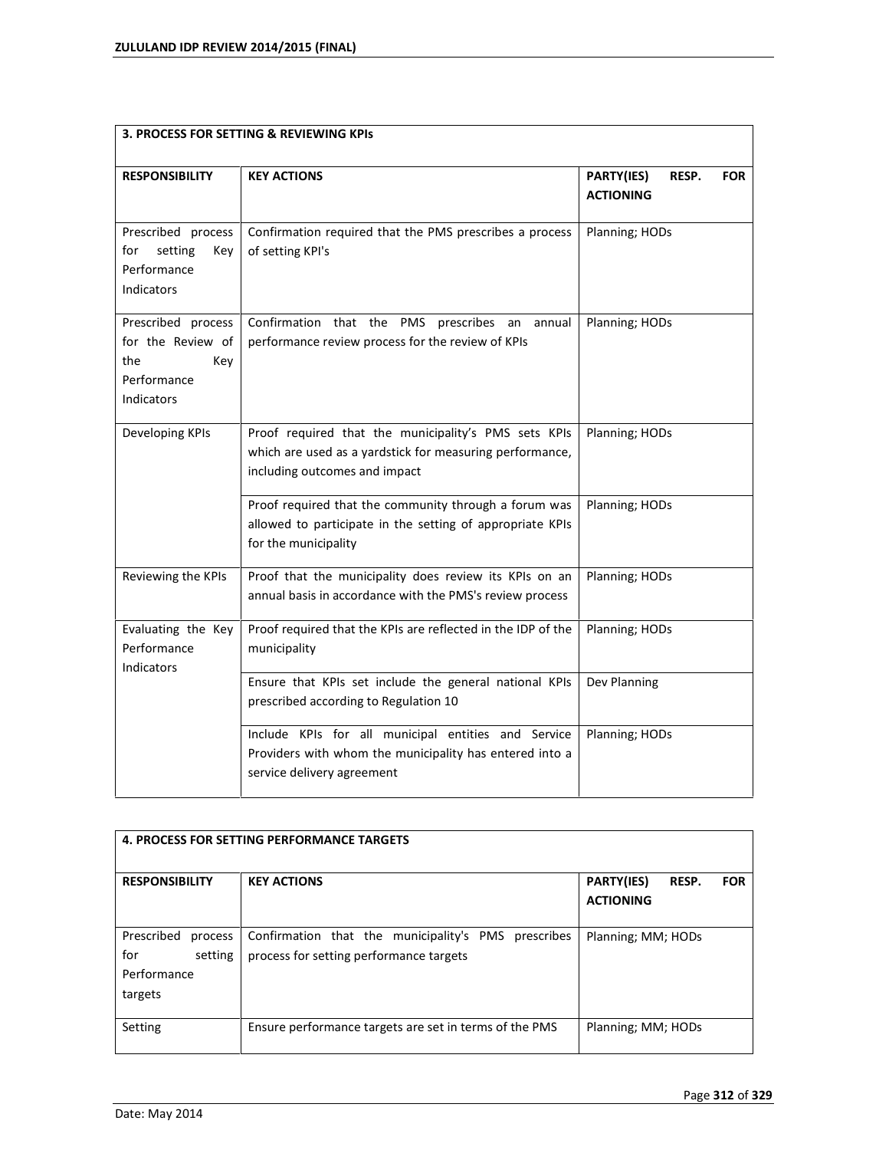| <b>3. PROCESS FOR SETTING &amp; REVIEWING KPIS</b>                                 |                                                                                                                                                   |                                                       |  |
|------------------------------------------------------------------------------------|---------------------------------------------------------------------------------------------------------------------------------------------------|-------------------------------------------------------|--|
| <b>RESPONSIBILITY</b>                                                              | <b>KEY ACTIONS</b>                                                                                                                                | PARTY(IES)<br>RESP.<br><b>FOR</b><br><b>ACTIONING</b> |  |
| Prescribed process<br>for<br>setting<br>Key<br>Performance<br>Indicators           | Confirmation required that the PMS prescribes a process<br>of setting KPI's                                                                       | Planning; HODs                                        |  |
| Prescribed process<br>for the Review of<br>the<br>Key<br>Performance<br>Indicators | Confirmation that the PMS prescribes an annual<br>performance review process for the review of KPIs                                               | Planning; HODs                                        |  |
| Developing KPIs                                                                    | Proof required that the municipality's PMS sets KPIs<br>which are used as a yardstick for measuring performance,<br>including outcomes and impact | Planning; HODs                                        |  |
|                                                                                    | Proof required that the community through a forum was<br>allowed to participate in the setting of appropriate KPIs<br>for the municipality        | Planning; HODs                                        |  |
| Reviewing the KPIs                                                                 | Proof that the municipality does review its KPIs on an<br>annual basis in accordance with the PMS's review process                                | Planning; HODs                                        |  |
| Evaluating the Key<br>Performance<br>Indicators                                    | Proof required that the KPIs are reflected in the IDP of the<br>municipality                                                                      | Planning; HODs                                        |  |
|                                                                                    | Ensure that KPIs set include the general national KPIs<br>prescribed according to Regulation 10                                                   | Dev Planning                                          |  |
|                                                                                    | Include KPIs for all municipal entities and Service<br>Providers with whom the municipality has entered into a<br>service delivery agreement      | Planning; HODs                                        |  |

| <b>4. PROCESS FOR SETTING PERFORMANCE TARGETS</b>                 |                                                                                                |                                                              |  |
|-------------------------------------------------------------------|------------------------------------------------------------------------------------------------|--------------------------------------------------------------|--|
| <b>RESPONSIBILITY</b>                                             | <b>KEY ACTIONS</b>                                                                             | <b>PARTY(IES)</b><br>RESP.<br><b>FOR</b><br><b>ACTIONING</b> |  |
| Prescribed<br>process<br>for<br>setting<br>Performance<br>targets | Confirmation that the municipality's PMS prescribes<br>process for setting performance targets | Planning; MM; HODs                                           |  |
| Setting                                                           | Ensure performance targets are set in terms of the PMS                                         | Planning; MM; HODs                                           |  |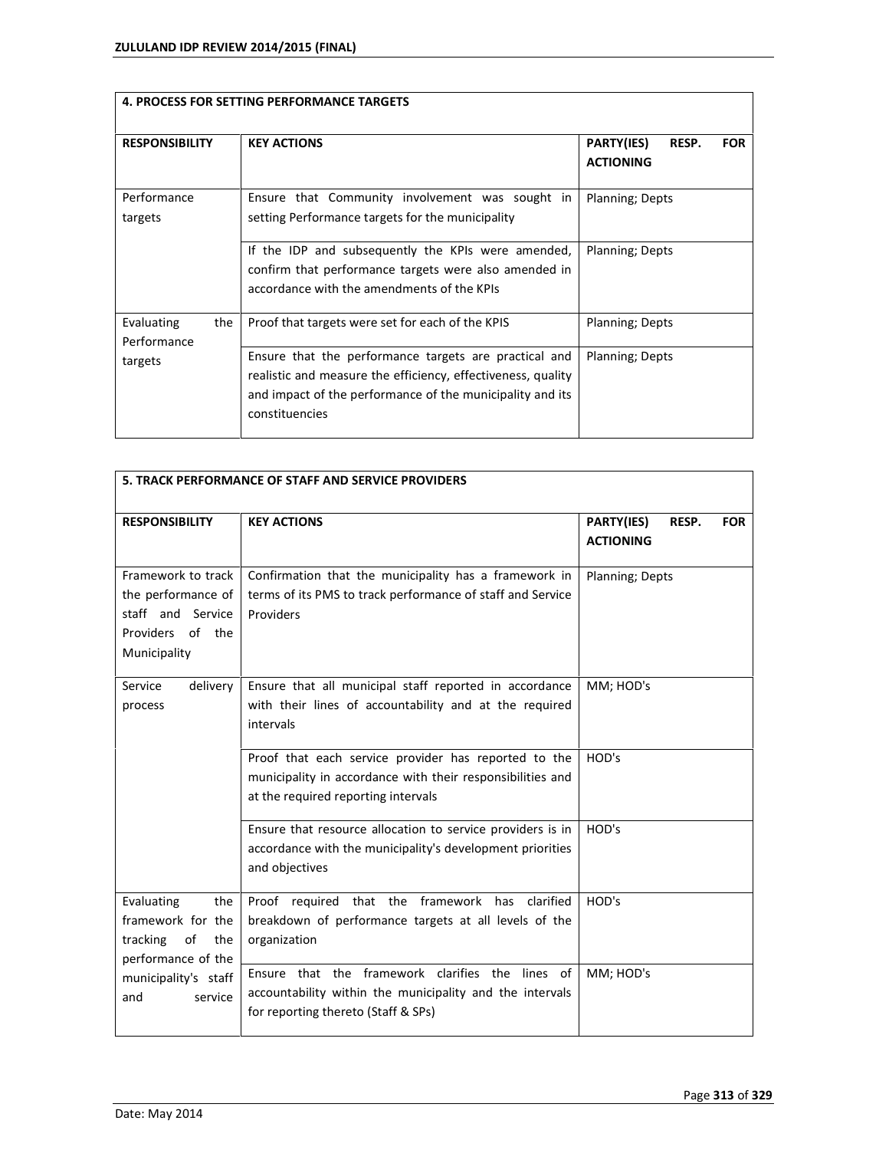|                                  | <b>4. PROCESS FOR SETTING PERFORMANCE TARGETS</b>                                                                                                                                                    |                                                       |
|----------------------------------|------------------------------------------------------------------------------------------------------------------------------------------------------------------------------------------------------|-------------------------------------------------------|
| <b>RESPONSIBILITY</b>            | <b>KEY ACTIONS</b>                                                                                                                                                                                   | PARTY(IES)<br>RESP.<br><b>FOR</b><br><b>ACTIONING</b> |
| Performance<br>targets           | Ensure that Community involvement was sought in<br>setting Performance targets for the municipality                                                                                                  | Planning; Depts                                       |
|                                  | If the IDP and subsequently the KPIs were amended,<br>confirm that performance targets were also amended in<br>accordance with the amendments of the KPIs                                            | Planning; Depts                                       |
| Evaluating<br>the<br>Performance | Proof that targets were set for each of the KPIS                                                                                                                                                     | Planning; Depts                                       |
| targets                          | Ensure that the performance targets are practical and<br>realistic and measure the efficiency, effectiveness, quality<br>and impact of the performance of the municipality and its<br>constituencies | Planning; Depts                                       |

| 5. TRACK PERFORMANCE OF STAFF AND SERVICE PROVIDERS                                               |                                                                                                                                                           |                                                       |
|---------------------------------------------------------------------------------------------------|-----------------------------------------------------------------------------------------------------------------------------------------------------------|-------------------------------------------------------|
| <b>RESPONSIBILITY</b>                                                                             | <b>KEY ACTIONS</b>                                                                                                                                        | PARTY(IES)<br>RESP.<br><b>FOR</b><br><b>ACTIONING</b> |
| Framework to track<br>the performance of<br>staff and Service<br>Providers of the<br>Municipality | Confirmation that the municipality has a framework in<br>terms of its PMS to track performance of staff and Service<br>Providers                          | Planning; Depts                                       |
| Service<br>delivery<br>process                                                                    | Ensure that all municipal staff reported in accordance<br>with their lines of accountability and at the required<br>intervals                             | MM; HOD's                                             |
|                                                                                                   | Proof that each service provider has reported to the<br>municipality in accordance with their responsibilities and<br>at the required reporting intervals | HOD's                                                 |
|                                                                                                   | Ensure that resource allocation to service providers is in<br>accordance with the municipality's development priorities<br>and objectives                 | HOD's                                                 |
| Evaluating<br>the<br>framework for the<br>of<br>tracking<br>the<br>performance of the             | Proof required that the framework<br>has<br>clarified<br>breakdown of performance targets at all levels of the<br>organization                            | HOD's                                                 |
| municipality's staff<br>and<br>service                                                            | Ensure that the framework clarifies the lines of<br>accountability within the municipality and the intervals<br>for reporting thereto (Staff & SPs)       | MM; HOD's                                             |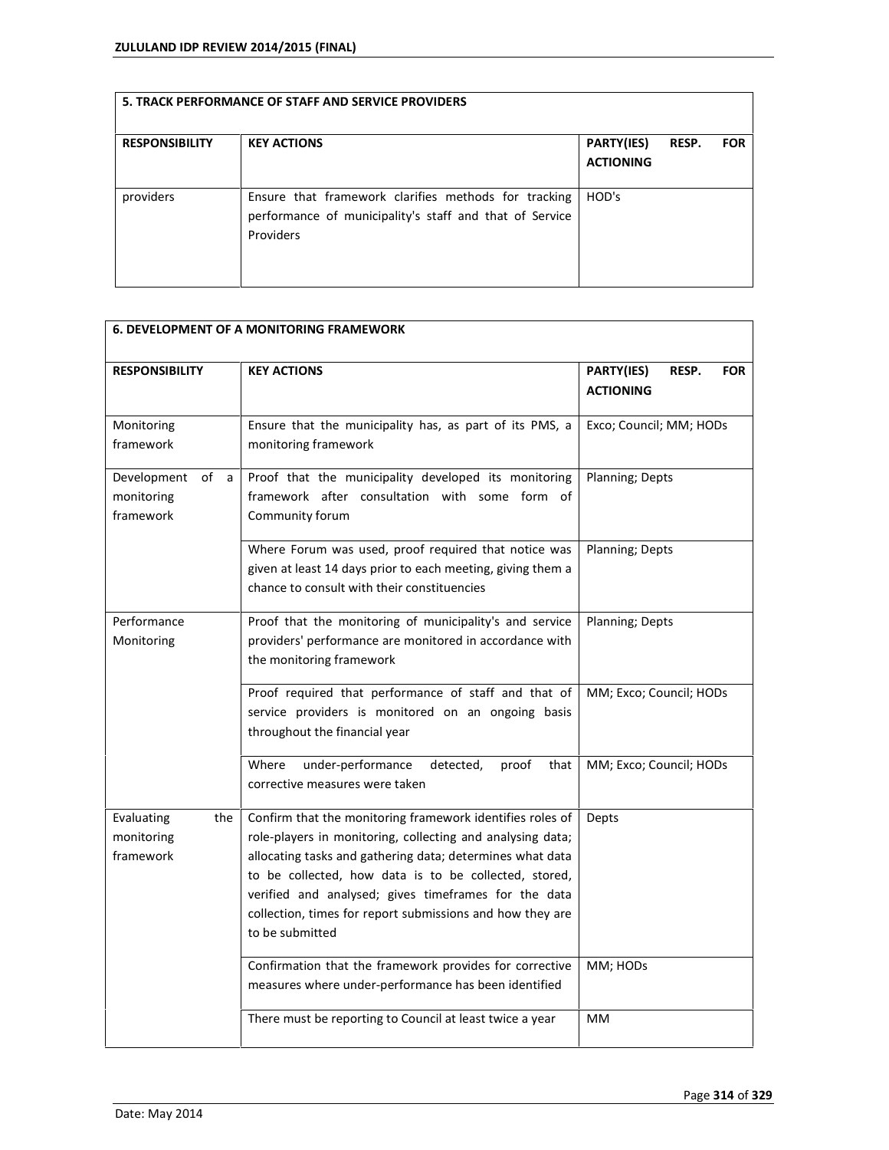| <b>RESPONSIBILITY</b> | <b>KEY ACTIONS</b>                                                                                                           | <b>PARTY(IES)</b><br><b>ACTIONING</b> | <b>RESP.</b> | <b>FOR</b> |
|-----------------------|------------------------------------------------------------------------------------------------------------------------------|---------------------------------------|--------------|------------|
| providers             | Ensure that framework clarifies methods for tracking<br>performance of municipality's staff and that of Service<br>Providers | HOD's                                 |              |            |

| <b>6. DEVELOPMENT OF A MONITORING FRAMEWORK</b>   |                                                                                                                                                                                                                                                                                                                                                                                       |                                                       |  |
|---------------------------------------------------|---------------------------------------------------------------------------------------------------------------------------------------------------------------------------------------------------------------------------------------------------------------------------------------------------------------------------------------------------------------------------------------|-------------------------------------------------------|--|
| <b>RESPONSIBILITY</b>                             | <b>KEY ACTIONS</b>                                                                                                                                                                                                                                                                                                                                                                    | PARTY(IES)<br>RESP.<br><b>FOR</b><br><b>ACTIONING</b> |  |
| Monitoring<br>framework                           | Ensure that the municipality has, as part of its PMS, a<br>monitoring framework                                                                                                                                                                                                                                                                                                       | Exco; Council; MM; HODs                               |  |
| Development<br>of<br>a<br>monitoring<br>framework | Proof that the municipality developed its monitoring<br>framework after consultation with some form of<br>Community forum                                                                                                                                                                                                                                                             | Planning; Depts                                       |  |
|                                                   | Where Forum was used, proof required that notice was<br>given at least 14 days prior to each meeting, giving them a<br>chance to consult with their constituencies                                                                                                                                                                                                                    | Planning; Depts                                       |  |
| Performance<br>Monitoring                         | Proof that the monitoring of municipality's and service<br>providers' performance are monitored in accordance with<br>the monitoring framework                                                                                                                                                                                                                                        | Planning; Depts                                       |  |
|                                                   | Proof required that performance of staff and that of<br>service providers is monitored on an ongoing basis<br>throughout the financial year                                                                                                                                                                                                                                           | MM; Exco; Council; HODs                               |  |
|                                                   | under-performance<br>Where<br>detected,<br>proof<br>that<br>corrective measures were taken                                                                                                                                                                                                                                                                                            | MM; Exco; Council; HODs                               |  |
| Evaluating<br>the<br>monitoring<br>framework      | Confirm that the monitoring framework identifies roles of<br>role-players in monitoring, collecting and analysing data;<br>allocating tasks and gathering data; determines what data<br>to be collected, how data is to be collected, stored,<br>verified and analysed; gives timeframes for the data<br>collection, times for report submissions and how they are<br>to be submitted | Depts                                                 |  |
|                                                   | Confirmation that the framework provides for corrective<br>measures where under-performance has been identified                                                                                                                                                                                                                                                                       | MM; HODs                                              |  |
|                                                   | There must be reporting to Council at least twice a year                                                                                                                                                                                                                                                                                                                              | MM                                                    |  |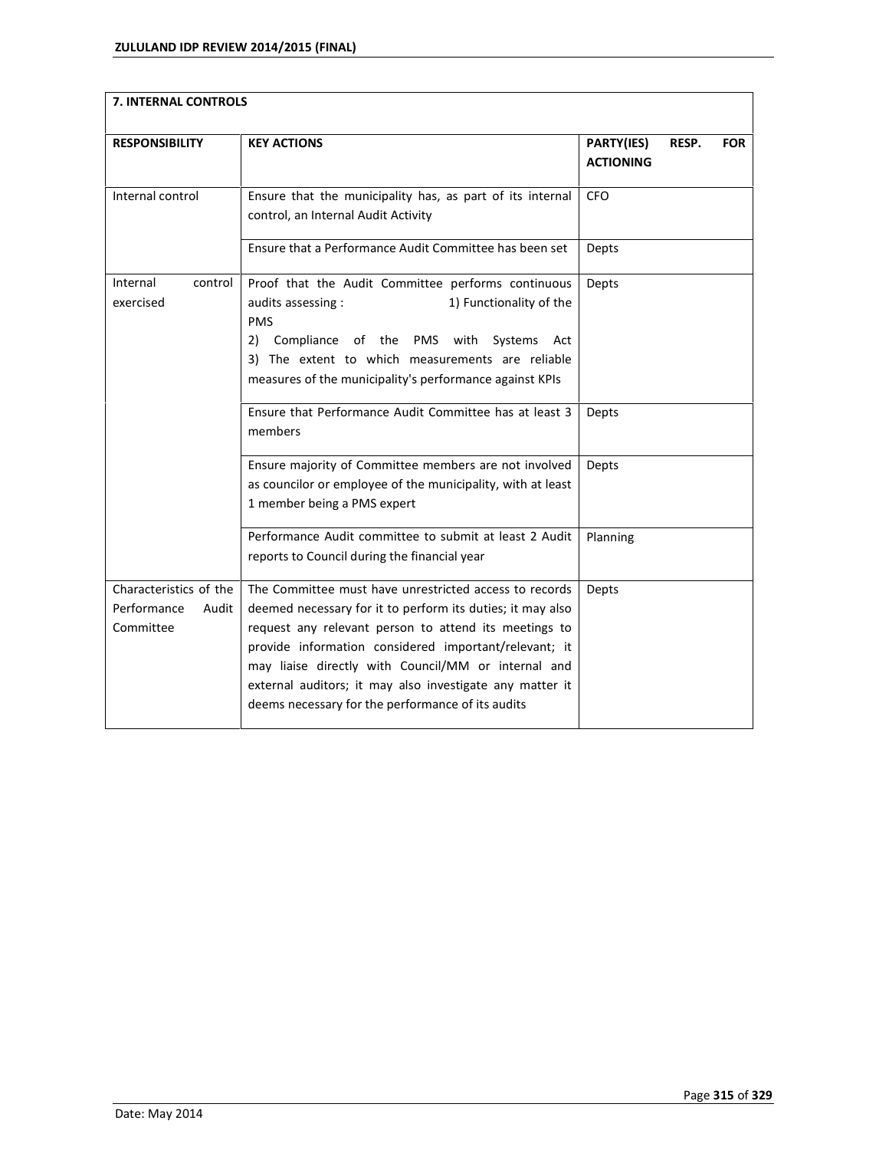| 7. INTERNAL CONTROLS                                        |                                                                                                                                                                                                                                                                                                                                                                                                                |                                                       |  |
|-------------------------------------------------------------|----------------------------------------------------------------------------------------------------------------------------------------------------------------------------------------------------------------------------------------------------------------------------------------------------------------------------------------------------------------------------------------------------------------|-------------------------------------------------------|--|
| <b>RESPONSIBILITY</b>                                       | <b>KEY ACTIONS</b>                                                                                                                                                                                                                                                                                                                                                                                             | PARTY(IES)<br>RESP.<br><b>FOR</b><br><b>ACTIONING</b> |  |
| Internal control                                            | Ensure that the municipality has, as part of its internal<br>control, an Internal Audit Activity                                                                                                                                                                                                                                                                                                               | CFO                                                   |  |
|                                                             | Ensure that a Performance Audit Committee has been set                                                                                                                                                                                                                                                                                                                                                         | Depts                                                 |  |
| Internal<br>control<br>exercised                            | Proof that the Audit Committee performs continuous<br>1) Functionality of the<br>audits assessing :<br><b>PMS</b><br>Compliance of the PMS with<br>2)<br>Systems<br>Act<br>3) The extent to which measurements are reliable<br>measures of the municipality's performance against KPIs                                                                                                                         | Depts                                                 |  |
|                                                             | Ensure that Performance Audit Committee has at least 3<br>members                                                                                                                                                                                                                                                                                                                                              | Depts                                                 |  |
|                                                             | Ensure majority of Committee members are not involved<br>as councilor or employee of the municipality, with at least<br>1 member being a PMS expert                                                                                                                                                                                                                                                            | Depts                                                 |  |
|                                                             | Performance Audit committee to submit at least 2 Audit<br>reports to Council during the financial year                                                                                                                                                                                                                                                                                                         | Planning                                              |  |
| Characteristics of the<br>Performance<br>Audit<br>Committee | The Committee must have unrestricted access to records<br>deemed necessary for it to perform its duties; it may also<br>request any relevant person to attend its meetings to<br>provide information considered important/relevant; it<br>may liaise directly with Council/MM or internal and<br>external auditors; it may also investigate any matter it<br>deems necessary for the performance of its audits | Depts                                                 |  |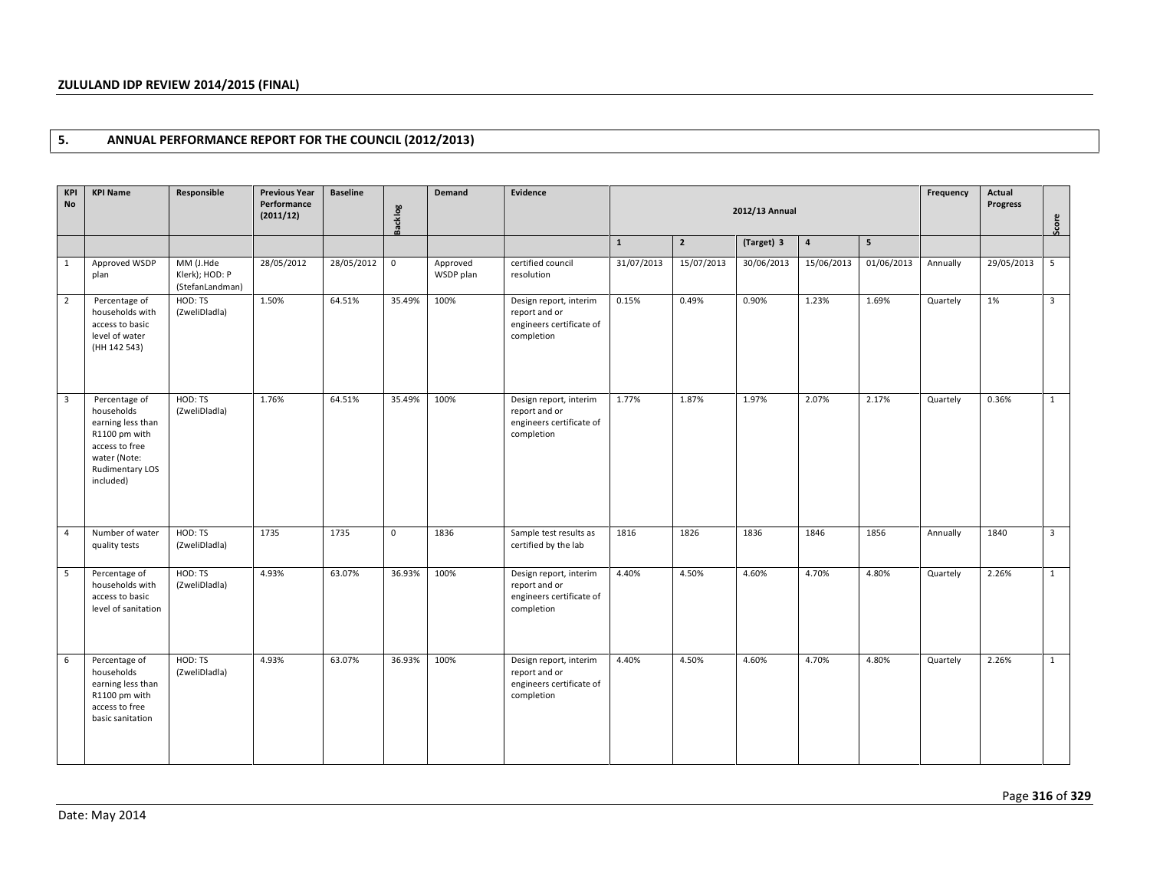## **5. ANNUAL PERFORMANCE REPORT FOR THE COUNCIL (2012/2013)**

| <b>KPI</b><br><b>No</b> | <b>KPI Name</b>                                                                                                                            | Responsible                                    | <b>Previous Year</b><br>Performance<br>(2011/12) | <b>Baseline</b> | <b>Backlog</b> | Demand                | Evidence                                                                          |              | 2012/13 Annual |            | Frequency  | Actual<br><b>Progress</b> | Score    |            |                |
|-------------------------|--------------------------------------------------------------------------------------------------------------------------------------------|------------------------------------------------|--------------------------------------------------|-----------------|----------------|-----------------------|-----------------------------------------------------------------------------------|--------------|----------------|------------|------------|---------------------------|----------|------------|----------------|
|                         |                                                                                                                                            |                                                |                                                  |                 |                |                       |                                                                                   | $\mathbf{1}$ | $\overline{2}$ | (Target) 3 | $\pmb{4}$  | 5                         |          |            |                |
| $\mathbf{1}$            | Approved WSDP<br>plan                                                                                                                      | MM (J.Hde<br>Klerk); HOD: P<br>(StefanLandman) | 28/05/2012                                       | 28/05/2012      | $\mathbf 0$    | Approved<br>WSDP plan | certified council<br>resolution                                                   | 31/07/2013   | 15/07/2013     | 30/06/2013 | 15/06/2013 | 01/06/2013                | Annually | 29/05/2013 | 5              |
| $\overline{2}$          | Percentage of<br>households with<br>access to basic<br>level of water<br>(HH 142 543)                                                      | HOD: TS<br>(ZweliDladla)                       | 1.50%                                            | 64.51%          | 35.49%         | 100%                  | Design report, interim<br>report and or<br>engineers certificate of<br>completion | 0.15%        | 0.49%          | 0.90%      | 1.23%      | 1.69%                     | Quartely | 1%         | $\overline{3}$ |
| $\overline{\mathbf{3}}$ | Percentage of<br>households<br>earning less than<br>R1100 pm with<br>access to free<br>water (Note:<br><b>Rudimentary LOS</b><br>included) | HOD: TS<br>(ZweliDladla)                       | 1.76%                                            | 64.51%          | 35.49%         | 100%                  | Design report, interim<br>report and or<br>engineers certificate of<br>completion | 1.77%        | 1.87%          | 1.97%      | 2.07%      | 2.17%                     | Quartely | 0.36%      | $\mathbf{1}$   |
| $\overline{4}$          | Number of water<br>quality tests                                                                                                           | HOD: TS<br>(ZweliDladla)                       | 1735                                             | 1735            | $\mathbf{0}$   | 1836                  | Sample test results as<br>certified by the lab                                    | 1816         | 1826           | 1836       | 1846       | 1856                      | Annually | 1840       | $\overline{3}$ |
| 5                       | Percentage of<br>households with<br>access to basic<br>level of sanitation                                                                 | HOD: TS<br>(ZweliDladla)                       | 4.93%                                            | 63.07%          | 36.93%         | 100%                  | Design report, interim<br>report and or<br>engineers certificate of<br>completion | 4.40%        | 4.50%          | 4.60%      | 4.70%      | 4.80%                     | Quartely | 2.26%      | 1              |
| 6                       | Percentage of<br>households<br>earning less than<br>R1100 pm with<br>access to free<br>basic sanitation                                    | HOD: TS<br>(ZweliDladla)                       | 4.93%                                            | 63.07%          | 36.93%         | 100%                  | Design report, interim<br>report and or<br>engineers certificate of<br>completion | 4.40%        | 4.50%          | 4.60%      | 4.70%      | 4.80%                     | Quartely | 2.26%      | $\mathbf{1}$   |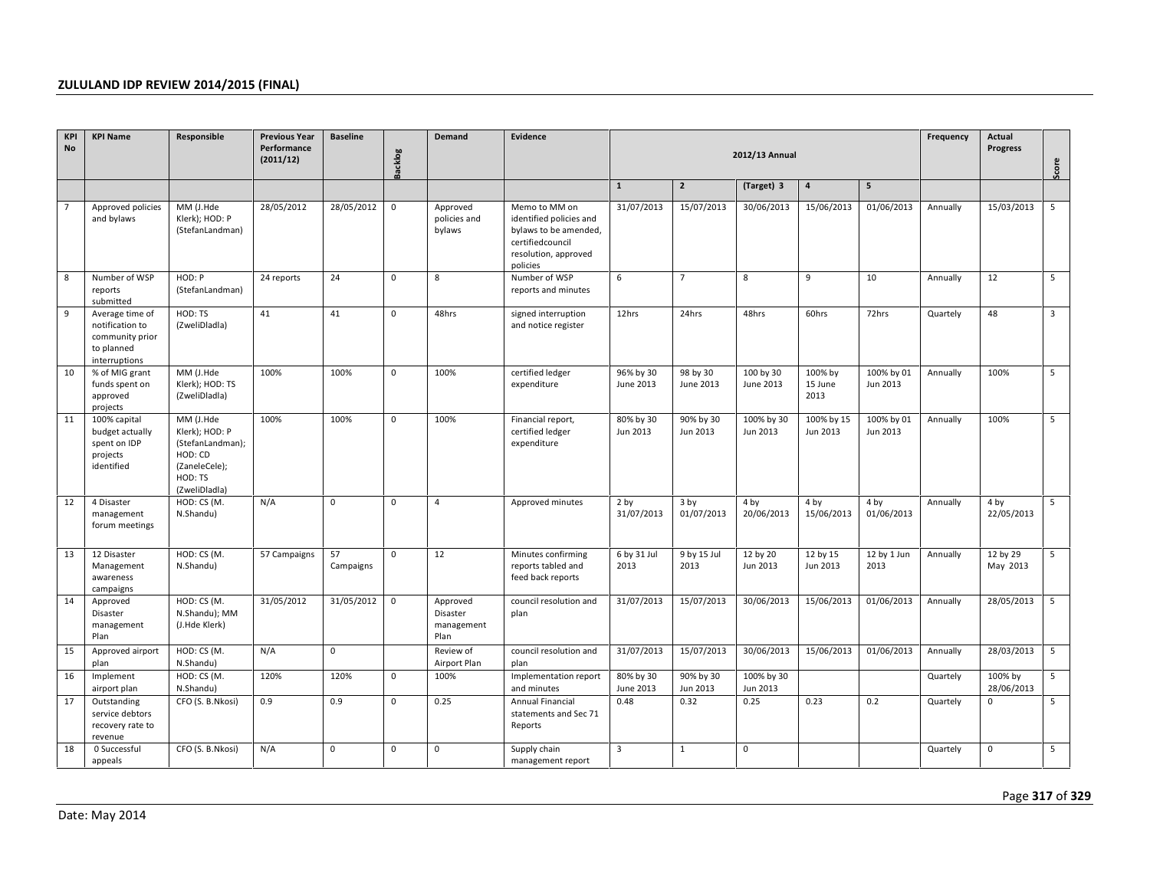| KPI<br><b>No</b> | <b>KPI Name</b>                                                                      | Responsible                                                                                             | <b>Previous Year</b><br>Performance<br>(2011/12) | <b>Baseline</b> | <b>Backlog</b> | <b>Demand</b>                              | Evidence                                                                                                                  |                               | 2012/13 Annual                |                        | Frequency                  | Actual<br><b>Progress</b> | Score    |                       |                |
|------------------|--------------------------------------------------------------------------------------|---------------------------------------------------------------------------------------------------------|--------------------------------------------------|-----------------|----------------|--------------------------------------------|---------------------------------------------------------------------------------------------------------------------------|-------------------------------|-------------------------------|------------------------|----------------------------|---------------------------|----------|-----------------------|----------------|
|                  |                                                                                      |                                                                                                         |                                                  |                 |                |                                            |                                                                                                                           | $\mathbf{1}$                  | $\overline{2}$                | (Target) 3             | $\pmb{4}$                  | 5                         |          |                       |                |
| $\overline{7}$   | Approved policies<br>and bylaws                                                      | MM (J.Hde<br>Klerk); HOD: P<br>(StefanLandman)                                                          | 28/05/2012                                       | 28/05/2012      | 0              | Approved<br>policies and<br>bylaws         | Memo to MM on<br>identified policies and<br>bylaws to be amended,<br>certifiedcouncil<br>resolution, approved<br>policies | 31/07/2013                    | 15/07/2013                    | 30/06/2013             | 15/06/2013                 | 01/06/2013                | Annually | 15/03/2013            | 5              |
| 8                | Number of WSP<br>reports<br>submitted                                                | HOD: P<br>(StefanLandman)                                                                               | 24 reports                                       | 24              | $\mathbf 0$    | 8                                          | Number of WSP<br>reports and minutes                                                                                      | 6                             | $\overline{7}$                | 8                      | 9                          | 10                        | Annually | 12                    | 5              |
| 9                | Average time of<br>notification to<br>community prior<br>to planned<br>interruptions | HOD: TS<br>(ZweliDladla)                                                                                | 41                                               | 41              | $\mathbf{0}$   | 48hrs                                      | signed interruption<br>and notice register                                                                                | 12hrs                         | 24hrs                         | 48hrs                  | 60hrs                      | 72hrs                     | Quartely | 48                    | $\overline{3}$ |
| 10               | % of MIG grant<br>funds spent on<br>approved<br>projects                             | MM (J.Hde<br>Klerk); HOD: TS<br>(ZweliDladla)                                                           | 100%                                             | 100%            | $\mathbf{0}$   | 100%                                       | certified ledger<br>expenditure                                                                                           | 96% by 30<br>June 2013        | 98 by 30<br>June 2013         | 100 by 30<br>June 2013 | 100% by<br>15 June<br>2013 | 100% by 01<br>Jun 2013    | Annually | 100%                  | 5              |
| 11               | 100% capital<br>budget actually<br>spent on IDP<br>projects<br>identified            | MM (J.Hde<br>Klerk); HOD: P<br>(StefanLandman);<br>HOD: CD<br>(ZaneleCele);<br>HOD: TS<br>(ZweliDladla) | 100%                                             | 100%            | $\mathbf{0}$   | 100%                                       | Financial report,<br>certified ledger<br>expenditure                                                                      | 80% by 30<br>Jun 2013         | 90% by 30<br>Jun 2013         | 100% by 30<br>Jun 2013 | 100% by 15<br>Jun 2013     | 100% by 01<br>Jun 2013    | Annually | 100%                  | 5              |
| 12               | 4 Disaster<br>management<br>forum meetings                                           | HOD: CS (M.<br>N.Shandu)                                                                                | N/A                                              | $\mathbf{0}$    | $\mathbf{0}$   | $\overline{4}$                             | Approved minutes                                                                                                          | 2 <sub>by</sub><br>31/07/2013 | 3 <sub>by</sub><br>01/07/2013 | 4 by<br>20/06/2013     | 4 by<br>15/06/2013         | 4 by<br>01/06/2013        | Annually | 4 by<br>22/05/2013    | 5              |
| 13               | 12 Disaster<br>Management<br>awareness<br>campaigns                                  | HOD: CS (M.<br>N.Shandu)                                                                                | 57 Campaigns                                     | 57<br>Campaigns | $\mathbf 0$    | 12                                         | Minutes confirming<br>reports tabled and<br>feed back reports                                                             | 6 by 31 Jul<br>2013           | 9 by 15 Jul<br>2013           | 12 by 20<br>Jun 2013   | 12 by 15<br>Jun 2013       | 12 by 1 Jun<br>2013       | Annually | 12 by 29<br>May 2013  | 5              |
| 14               | Approved<br>Disaster<br>management<br>Plan                                           | HOD: CS (M.<br>N.Shandu); MM<br>(J.Hde Klerk)                                                           | 31/05/2012                                       | 31/05/2012      | $\mathbf 0$    | Approved<br>Disaster<br>management<br>Plan | council resolution and<br>plan                                                                                            | 31/07/2013                    | 15/07/2013                    | 30/06/2013             | 15/06/2013                 | 01/06/2013                | Annually | 28/05/2013            | 5              |
| 15               | Approved airport<br>plan                                                             | HOD: CS (M.<br>N.Shandu)                                                                                | N/A                                              | $\mathbf 0$     |                | Review of<br>Airport Plan                  | council resolution and<br>plan                                                                                            | 31/07/2013                    | 15/07/2013                    | 30/06/2013             | 15/06/2013                 | 01/06/2013                | Annually | 28/03/2013            | 5              |
| 16               | Implement<br>airport plan                                                            | HOD: CS (M.<br>N.Shandu)                                                                                | 120%                                             | 120%            | $\mathbf 0$    | 100%                                       | Implementation report<br>and minutes                                                                                      | 80% by 30<br>June 2013        | 90% by 30<br>Jun 2013         | 100% by 30<br>Jun 2013 |                            |                           | Quartely | 100% by<br>28/06/2013 | 5              |
| 17               | Outstanding<br>service debtors<br>recovery rate to<br>revenue                        | CFO (S. B.Nkosi)                                                                                        | 0.9                                              | 0.9             | $\mathbf 0$    | 0.25                                       | Annual Financial<br>statements and Sec 71<br>Reports                                                                      | 0.48                          | 0.32                          | 0.25                   | 0.23                       | 0.2                       | Quartely | $\mathbf{0}$          | 5              |
| 18               | 0 Successful<br>appeals                                                              | CFO (S. B.Nkosi)                                                                                        | N/A                                              | $\mathbf 0$     | $\mathbf 0$    | $\mathbf 0$                                | Supply chain<br>management report                                                                                         | $\overline{3}$                | $\mathbf{1}$                  | $\mathbf 0$            |                            |                           | Quartely | $\mathbf 0$           | 5              |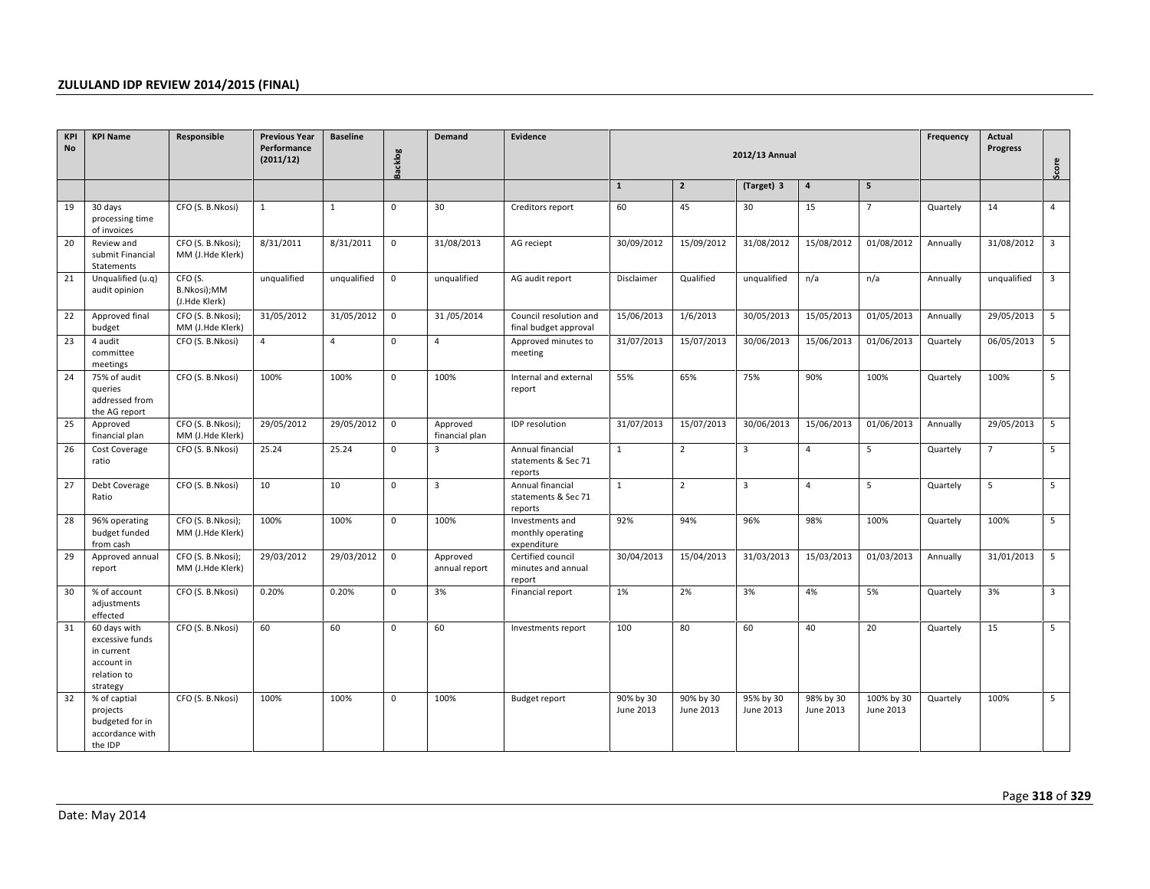| KPI<br><b>No</b> | <b>KPI Name</b>                                                                        | Responsible                             | <b>Previous Year</b><br>Performance<br>(2011/12) | <b>Baseline</b> | <b>Backlog</b>      | <b>Demand</b>              | Evidence                                            |                        |                        | 2012/13 Annual         |                        |                         | Frequency | Actual<br><b>Progress</b> | Score                   |
|------------------|----------------------------------------------------------------------------------------|-----------------------------------------|--------------------------------------------------|-----------------|---------------------|----------------------------|-----------------------------------------------------|------------------------|------------------------|------------------------|------------------------|-------------------------|-----------|---------------------------|-------------------------|
|                  |                                                                                        |                                         |                                                  |                 |                     |                            |                                                     | $\mathbf{1}$           | $\overline{2}$         | (Target) 3             | $\overline{a}$         | $\overline{\mathbf{5}}$ |           |                           |                         |
| 19               | 30 days<br>processing time<br>of invoices                                              | CFO (S. B.Nkosi)                        | $\mathbf{1}$                                     | $\mathbf{1}$    | $\mathbf{0}$        | 30                         | Creditors report                                    | 60                     | 45                     | 30                     | 15                     | $\overline{7}$          | Quartely  | 14                        | $\overline{4}$          |
| 20               | Review and<br>submit Financial<br>Statements                                           | CFO (S. B.Nkosi);<br>MM (J.Hde Klerk)   | 8/31/2011                                        | 8/31/2011       | $\mathbf 0$         | 31/08/2013                 | AG reciept                                          | 30/09/2012             | 15/09/2012             | 31/08/2012             | 15/08/2012             | 01/08/2012              | Annually  | 31/08/2012                | $\overline{3}$          |
| 21               | Unqualified (u.q)<br>audit opinion                                                     | CFO (S.<br>B.Nkosi);MM<br>(J.Hde Klerk) | unqualified                                      | unqualified     | $\mathsf{O}\xspace$ | unqualified                | AG audit report                                     | Disclaimer             | Qualified              | unqualified            | n/a                    | n/a                     | Annually  | unqualified               | $\overline{\mathbf{3}}$ |
| 22               | Approved final<br>budget                                                               | CFO (S. B.Nkosi);<br>MM (J.Hde Klerk)   | 31/05/2012                                       | 31/05/2012      | $\mathbf 0$         | 31/05/2014                 | Council resolution and<br>final budget approval     | 15/06/2013             | 1/6/2013               | 30/05/2013             | 15/05/2013             | 01/05/2013              | Annually  | 29/05/2013                | 5                       |
| 23               | 4 audit<br>committee<br>meetings                                                       | CFO (S. B.Nkosi)                        | $\overline{4}$                                   | $\overline{4}$  | $\mathbf 0$         | $\overline{4}$             | Approved minutes to<br>meeting                      | 31/07/2013             | 15/07/2013             | 30/06/2013             | 15/06/2013             | 01/06/2013              | Quartely  | 06/05/2013                | 5                       |
| 24               | 75% of audit<br>queries<br>addressed from<br>the AG report                             | CFO (S. B.Nkosi)                        | 100%                                             | 100%            | $\mathbf 0$         | 100%                       | Internal and external<br>report                     | 55%                    | 65%                    | 75%                    | 90%                    | 100%                    | Quartely  | 100%                      | 5                       |
| 25               | Approved<br>financial plan                                                             | CFO (S. B.Nkosi);<br>MM (J.Hde Klerk)   | 29/05/2012                                       | 29/05/2012      | $\mathbf 0$         | Approved<br>financial plan | IDP resolution                                      | 31/07/2013             | 15/07/2013             | 30/06/2013             | 15/06/2013             | 01/06/2013              | Annually  | 29/05/2013                | $5\overline{5}$         |
| 26               | Cost Coverage<br>ratio                                                                 | CFO (S. B.Nkosi)                        | 25.24                                            | 25.24           | $\mathbf 0$         | $\overline{3}$             | Annual financial<br>statements & Sec 71<br>reports  | $\mathbf{1}$           | $\overline{2}$         | $\overline{3}$         | $\overline{4}$         | 5                       | Quartely  | $\overline{7}$            | 5                       |
| 27               | Debt Coverage<br>Ratio                                                                 | CFO (S. B.Nkosi)                        | 10                                               | 10              | $\mathbf 0$         | $\overline{3}$             | Annual financial<br>statements & Sec 71<br>reports  | $\mathbf{1}$           | $\overline{2}$         | $\overline{3}$         | $\overline{4}$         | 5                       | Quartely  | 5                         | 5                       |
| 28               | 96% operating<br>budget funded<br>from cash                                            | CFO (S. B.Nkosi);<br>MM (J.Hde Klerk)   | 100%                                             | 100%            | $\mathbf 0$         | 100%                       | Investments and<br>monthly operating<br>expenditure | 92%                    | 94%                    | 96%                    | 98%                    | 100%                    | Quartely  | 100%                      | 5                       |
| 29               | Approved annual<br>report                                                              | CFO (S. B.Nkosi);<br>MM (J.Hde Klerk)   | 29/03/2012                                       | 29/03/2012      | $\mathbf 0$         | Approved<br>annual report  | Certified council<br>minutes and annual<br>report   | 30/04/2013             | 15/04/2013             | 31/03/2013             | 15/03/2013             | 01/03/2013              | Annually  | 31/01/2013                | 5                       |
| 30               | % of account<br>adjustments<br>effected                                                | CFO (S. B.Nkosi)                        | 0.20%                                            | 0.20%           | $\mathbf 0$         | 3%                         | Financial report                                    | 1%                     | 2%                     | 3%                     | 4%                     | 5%                      | Quartely  | 3%                        | $\overline{3}$          |
| 31               | 60 days with<br>excessive funds<br>in current<br>account in<br>relation to<br>strategy | CFO (S. B.Nkosi)                        | 60                                               | 60              | $\mathbf 0$         | 60                         | Investments report                                  | 100                    | 80                     | 60                     | 40                     | 20                      | Quartely  | 15                        | 5                       |
| 32               | % of captial<br>projects<br>budgeted for in<br>accordance with<br>the IDP              | CFO (S. B.Nkosi)                        | 100%                                             | 100%            | $\mathbf 0$         | 100%                       | <b>Budget report</b>                                | 90% by 30<br>June 2013 | 90% by 30<br>June 2013 | 95% by 30<br>June 2013 | 98% by 30<br>June 2013 | 100% by 30<br>June 2013 | Quartely  | 100%                      | 5                       |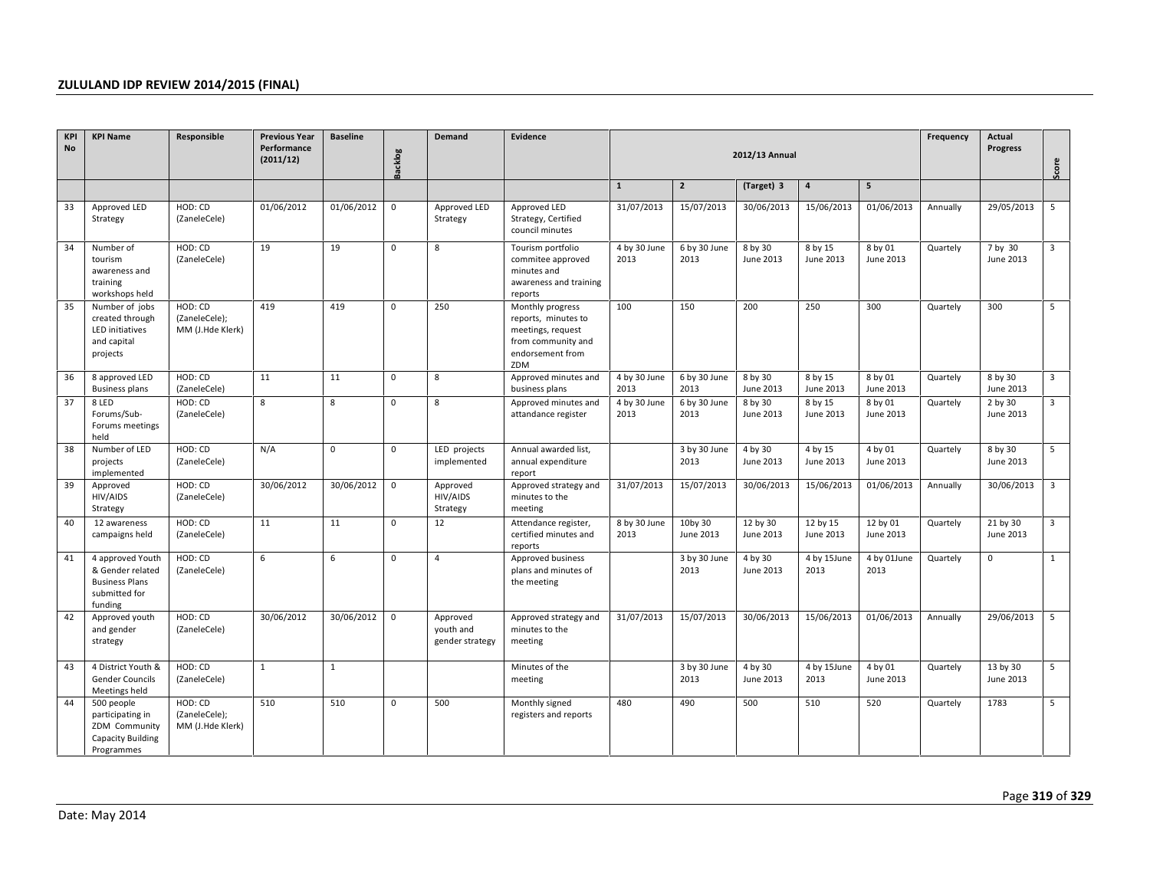| <b>KPI</b><br><b>No</b> | <b>KPI Name</b>                                                                           | Responsible                                  | <b>Previous Year</b><br>Performance | <b>Baseline</b> |                | Demand                                   | Evidence                                                                                                      |                      |                      |                       | Frequency             | Actual                |                 |                       |                |
|-------------------------|-------------------------------------------------------------------------------------------|----------------------------------------------|-------------------------------------|-----------------|----------------|------------------------------------------|---------------------------------------------------------------------------------------------------------------|----------------------|----------------------|-----------------------|-----------------------|-----------------------|-----------------|-----------------------|----------------|
|                         |                                                                                           |                                              | (2011/12)                           |                 | <b>Backlog</b> |                                          |                                                                                                               |                      |                      | 2012/13 Annual        |                       |                       | <b>Progress</b> | Score                 |                |
|                         |                                                                                           |                                              |                                     |                 |                |                                          |                                                                                                               | $\mathbf{1}$         | $\mathbf{2}$         | (Target) 3            | $\pmb{4}$             | $5\overline{5}$       |                 |                       |                |
| 33                      | Approved LED<br>Strategy                                                                  | HOD: CD<br>(ZaneleCele)                      | 01/06/2012                          | 01/06/2012      | $\mathbf 0$    | Approved LED<br>Strategy                 | Approved LED<br>Strategy, Certified<br>council minutes                                                        | 31/07/2013           | 15/07/2013           | 30/06/2013            | 15/06/2013            | 01/06/2013            | Annually        | 29/05/2013            | 5              |
| 34                      | Number of<br>tourism<br>awareness and<br>training<br>workshops held                       | HOD: CD<br>(ZaneleCele)                      | 19                                  | 19              | $\mathbf{0}$   | 8                                        | Tourism portfolio<br>commitee approved<br>minutes and<br>awareness and training<br>reports                    | 4 by 30 June<br>2013 | 6 by 30 June<br>2013 | 8 by 30<br>June 2013  | 8 by 15<br>June 2013  | 8 by 01<br>June 2013  | Quartely        | 7 by 30<br>June 2013  | $\overline{3}$ |
| 35                      | Number of jobs<br>created through<br><b>LED</b> initiatives<br>and capital<br>projects    | HOD: CD<br>(ZaneleCele);<br>MM (J.Hde Klerk) | 419                                 | 419             | $\mathbf{0}$   | 250                                      | Monthly progress<br>reports, minutes to<br>meetings, request<br>from community and<br>endorsement from<br>ZDM | 100                  | 150                  | 200                   | 250                   | 300                   | Quartely        | 300                   | 5              |
| 36                      | 8 approved LED<br><b>Business plans</b>                                                   | HOD: CD<br>(ZaneleCele)                      | 11                                  | 11              | $\mathbf 0$    | 8                                        | Approved minutes and<br>business plans                                                                        | 4 by 30 June<br>2013 | 6 by 30 June<br>2013 | 8 by 30<br>June 2013  | 8 by 15<br>June 2013  | 8 by 01<br>June 2013  | Quartely        | 8 by 30<br>June 2013  | $\overline{3}$ |
| 37                      | 8 LED<br>Forums/Sub-<br>Forums meetings<br>held                                           | HOD: CD<br>(ZaneleCele)                      | 8                                   | 8               | $\mathbf 0$    | 8                                        | Approved minutes and<br>attandance register                                                                   | 4 by 30 June<br>2013 | 6 by 30 June<br>2013 | 8 by 30<br>June 2013  | 8 by 15<br>June 2013  | 8 by 01<br>June 2013  | Quartely        | 2 by 30<br>June 2013  | 3              |
| 38                      | Number of LED<br>projects<br>implemented                                                  | HOD: CD<br>(ZaneleCele)                      | N/A                                 | $\mathbf 0$     | $\mathsf 0$    | LED projects<br>implemented              | Annual awarded list,<br>annual expenditure<br>report                                                          |                      | 3 by 30 June<br>2013 | 4 by 30<br>June 2013  | 4 by 15<br>June 2013  | 4 by 01<br>June 2013  | Quartely        | 8 by 30<br>June 2013  | 5              |
| 39                      | Approved<br>HIV/AIDS<br>Strategy                                                          | HOD: CD<br>(ZaneleCele)                      | 30/06/2012                          | 30/06/2012      | $\mathbf 0$    | Approved<br>HIV/AIDS<br>Strategy         | Approved strategy and<br>minutes to the<br>meeting                                                            | 31/07/2013           | 15/07/2013           | 30/06/2013            | 15/06/2013            | 01/06/2013            | Annually        | 30/06/2013            | 3              |
| 40                      | 12 awareness<br>campaigns held                                                            | HOD: CD<br>(ZaneleCele)                      | 11                                  | 11              | $\mathbf{0}$   | 12                                       | Attendance register,<br>certified minutes and<br>reports                                                      | 8 by 30 June<br>2013 | 10by 30<br>June 2013 | 12 by 30<br>June 2013 | 12 by 15<br>June 2013 | 12 by 01<br>June 2013 | Quartely        | 21 by 30<br>June 2013 | $\overline{3}$ |
| 41                      | 4 approved Youth<br>& Gender related<br><b>Business Plans</b><br>submitted for<br>funding | HOD: CD<br>(ZaneleCele)                      | 6                                   | 6               | $\pmb{0}$      | $\overline{4}$                           | Approved business<br>plans and minutes of<br>the meeting                                                      |                      | 3 by 30 June<br>2013 | 4 by 30<br>June 2013  | 4 by 15June<br>2013   | 4 by 01June<br>2013   | Quartely        | $\mathbf 0$           | $\mathbf{1}$   |
| 42                      | Approved youth<br>and gender<br>strategy                                                  | HOD: CD<br>(ZaneleCele)                      | 30/06/2012                          | 30/06/2012      | $\mathbf 0$    | Approved<br>youth and<br>gender strategy | Approved strategy and<br>minutes to the<br>meeting                                                            | 31/07/2013           | 15/07/2013           | 30/06/2013            | 15/06/2013            | 01/06/2013            | Annually        | 29/06/2013            | 5              |
| 43                      | 4 District Youth &<br><b>Gender Councils</b><br>Meetings held                             | HOD: CD<br>(ZaneleCele)                      | $\mathbf{1}$                        | $\mathbf{1}$    |                |                                          | Minutes of the<br>meeting                                                                                     |                      | 3 by 30 June<br>2013 | 4 by 30<br>June 2013  | 4 by 15June<br>2013   | 4 by 01<br>June 2013  | Quartely        | 13 by 30<br>June 2013 | 5              |
| 44                      | 500 people<br>participating in<br>ZDM Community<br><b>Capacity Building</b><br>Programmes | HOD: CD<br>(ZaneleCele);<br>MM (J.Hde Klerk) | 510                                 | 510             | $\pmb{0}$      | 500                                      | Monthly signed<br>registers and reports                                                                       | 480                  | 490                  | 500                   | 510                   | 520                   | Quartely        | 1783                  | 5              |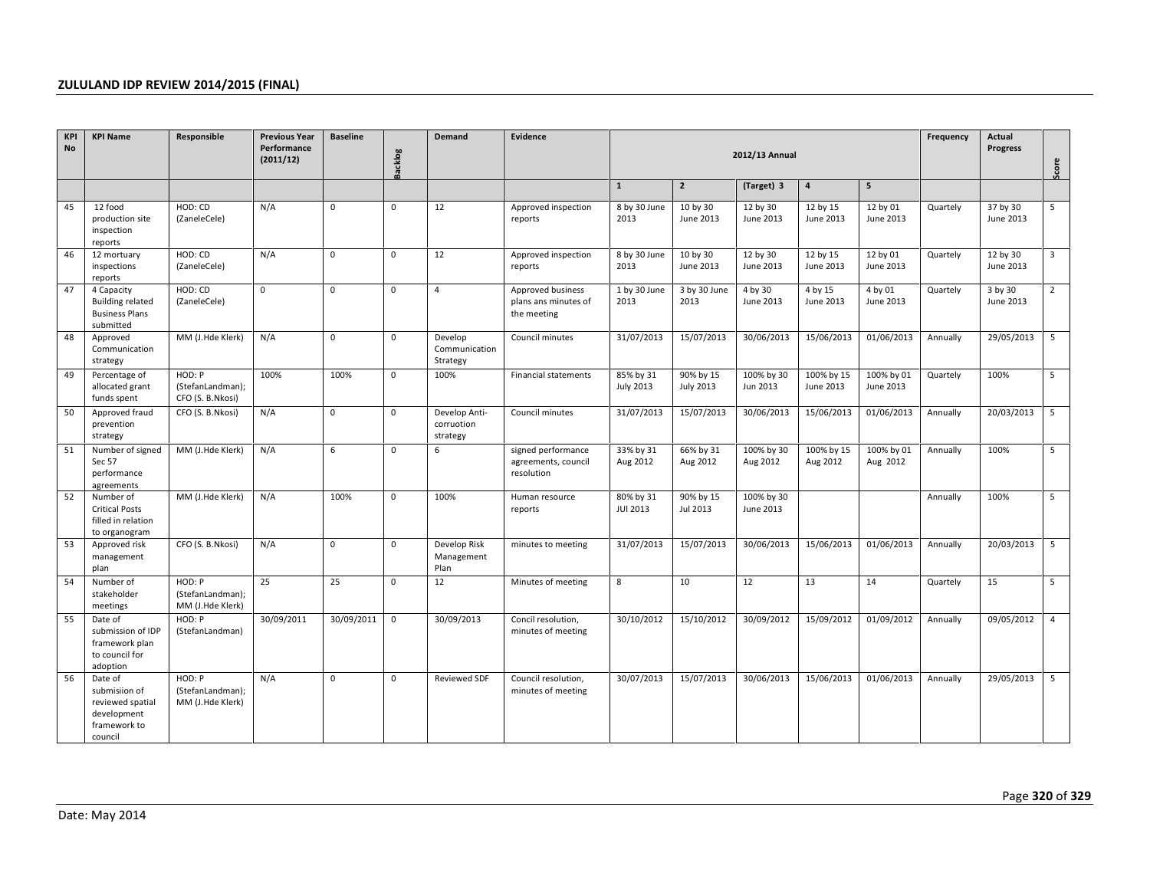| KPI<br><b>No</b> | <b>KPI Name</b>                                                                        | Responsible                                    | <b>Previous Year</b><br>Performance<br>(2011/12) | <b>Baseline</b> | <b>Backlog</b> | <b>Demand</b>                           | Evidence                                                 |                               | 2012/13 Annual                |                         | Frequency               | Actual<br><b>Progress</b> | Score    |                       |                 |
|------------------|----------------------------------------------------------------------------------------|------------------------------------------------|--------------------------------------------------|-----------------|----------------|-----------------------------------------|----------------------------------------------------------|-------------------------------|-------------------------------|-------------------------|-------------------------|---------------------------|----------|-----------------------|-----------------|
|                  |                                                                                        |                                                |                                                  |                 |                |                                         |                                                          | $\mathbf{1}$                  | $\overline{2}$                | (Target) 3              | $\overline{4}$          | $5\overline{5}$           |          |                       |                 |
| 45               | 12 food<br>production site<br>inspection<br>reports                                    | HOD: CD<br>(ZaneleCele)                        | N/A                                              | $\mathbf{0}$    | $\mathbf{0}$   | 12                                      | Approved inspection<br>reports                           | 8 by 30 June<br>2013          | 10 by 30<br><b>June 2013</b>  | 12 by 30<br>June 2013   | 12 by 15<br>June 2013   | 12 by 01<br>June 2013     | Quartely | 37 by 30<br>June 2013 | 5               |
| 46               | 12 mortuary<br>inspections<br>reports                                                  | HOD: CD<br>(ZaneleCele)                        | N/A                                              | $\mathbf{0}$    | $\mathbf{0}$   | 12                                      | Approved inspection<br>reports                           | 8 by 30 June<br>2013          | 10 by 30<br>June 2013         | 12 by 30<br>June 2013   | 12 by 15<br>June 2013   | 12 by 01<br>June 2013     | Quartely | 12 by 30<br>June 2013 | $\overline{3}$  |
| 47               | 4 Capacity<br><b>Building related</b><br><b>Business Plans</b><br>submitted            | HOD: CD<br>(ZaneleCele)                        | $\mathbf 0$                                      | $\mathbf{0}$    | $\mathbf 0$    | $\overline{4}$                          | Approved business<br>plans ans minutes of<br>the meeting | 1 by 30 June<br>2013          | 3 by 30 June<br>2013          | 4 by 30<br>June 2013    | 4 by 15<br>June 2013    | 4 by 01<br>June 2013      | Quartely | 3 by 30<br>June 2013  | $\overline{2}$  |
| 48               | Approved<br>Communication<br>strategy                                                  | MM (J.Hde Klerk)                               | N/A                                              | $\mathbf{0}$    | $\mathbf 0$    | Develop<br>Communication<br>Strategy    | Council minutes                                          | 31/07/2013                    | 15/07/2013                    | 30/06/2013              | 15/06/2013              | 01/06/2013                | Annually | 29/05/2013            | $5\overline{5}$ |
| 49               | Percentage of<br>allocated grant<br>funds spent                                        | HOD: P<br>(StefanLandman);<br>CFO (S. B.Nkosi) | 100%                                             | 100%            | $\mathbf{0}$   | 100%                                    | Financial statements                                     | 85% by 31<br><b>July 2013</b> | 90% by 15<br><b>July 2013</b> | 100% by 30<br>Jun 2013  | 100% by 15<br>June 2013 | 100% by 01<br>June 2013   | Quartely | 100%                  | 5               |
| 50               | Approved fraud<br>prevention<br>strategy                                               | CFO (S. B.Nkosi)                               | N/A                                              | $\mathbf 0$     | $\mathbf 0$    | Develop Anti-<br>corruotion<br>strategy | Council minutes                                          | 31/07/2013                    | 15/07/2013                    | 30/06/2013              | 15/06/2013              | 01/06/2013                | Annually | 20/03/2013            | 5               |
| 51               | Number of signed<br>Sec 57<br>performance<br>agreements                                | MM (J.Hde Klerk)                               | N/A                                              | 6               | $\mathbf{0}$   | 6                                       | signed performance<br>agreements, council<br>resolution  | 33% by 31<br>Aug 2012         | 66% by 31<br>Aug 2012         | 100% by 30<br>Aug 2012  | 100% by 15<br>Aug 2012  | 100% by 01<br>Aug 2012    | Annually | 100%                  | 5               |
| 52               | Number of<br><b>Critical Posts</b><br>filled in relation<br>to organogram              | MM (J.Hde Klerk)                               | N/A                                              | 100%            | $\mathbf 0$    | 100%                                    | Human resource<br>reports                                | 80% by 31<br><b>JUI 2013</b>  | 90% by 15<br>Jul 2013         | 100% by 30<br>June 2013 |                         |                           | Annually | 100%                  | 5               |
| 53               | Approved risk<br>management<br>plan                                                    | CFO (S. B.Nkosi)                               | N/A                                              | $\mathbf{0}$    | $\mathbf 0$    | Develop Risk<br>Management<br>Plan      | minutes to meeting                                       | 31/07/2013                    | 15/07/2013                    | 30/06/2013              | 15/06/2013              | 01/06/2013                | Annually | 20/03/2013            | 5               |
| 54               | Number of<br>stakeholder<br>meetings                                                   | HOD: P<br>(StefanLandman);<br>MM (J.Hde Klerk) | 25                                               | 25              | $\mathbf{0}$   | 12                                      | Minutes of meeting                                       | 8                             | 10                            | 12                      | 13                      | 14                        | Quartely | 15                    | 5               |
| 55               | Date of<br>submission of IDP<br>framework plan<br>to council for<br>adoption           | HOD: P<br>(StefanLandman)                      | 30/09/2011                                       | 30/09/2011      | $\mathbf 0$    | 30/09/2013                              | Concil resolution,<br>minutes of meeting                 | 30/10/2012                    | 15/10/2012                    | 30/09/2012              | 15/09/2012              | 01/09/2012                | Annually | 09/05/2012            | $\overline{4}$  |
| 56               | Date of<br>submisiion of<br>reviewed spatial<br>development<br>framework to<br>council | HOD: P<br>(StefanLandman);<br>MM (J.Hde Klerk) | N/A                                              | $\mathbf{0}$    | $\mathbf{0}$   | <b>Reviewed SDF</b>                     | Council resolution,<br>minutes of meeting                | 30/07/2013                    | 15/07/2013                    | 30/06/2013              | 15/06/2013              | 01/06/2013                | Annually | 29/05/2013            | 5               |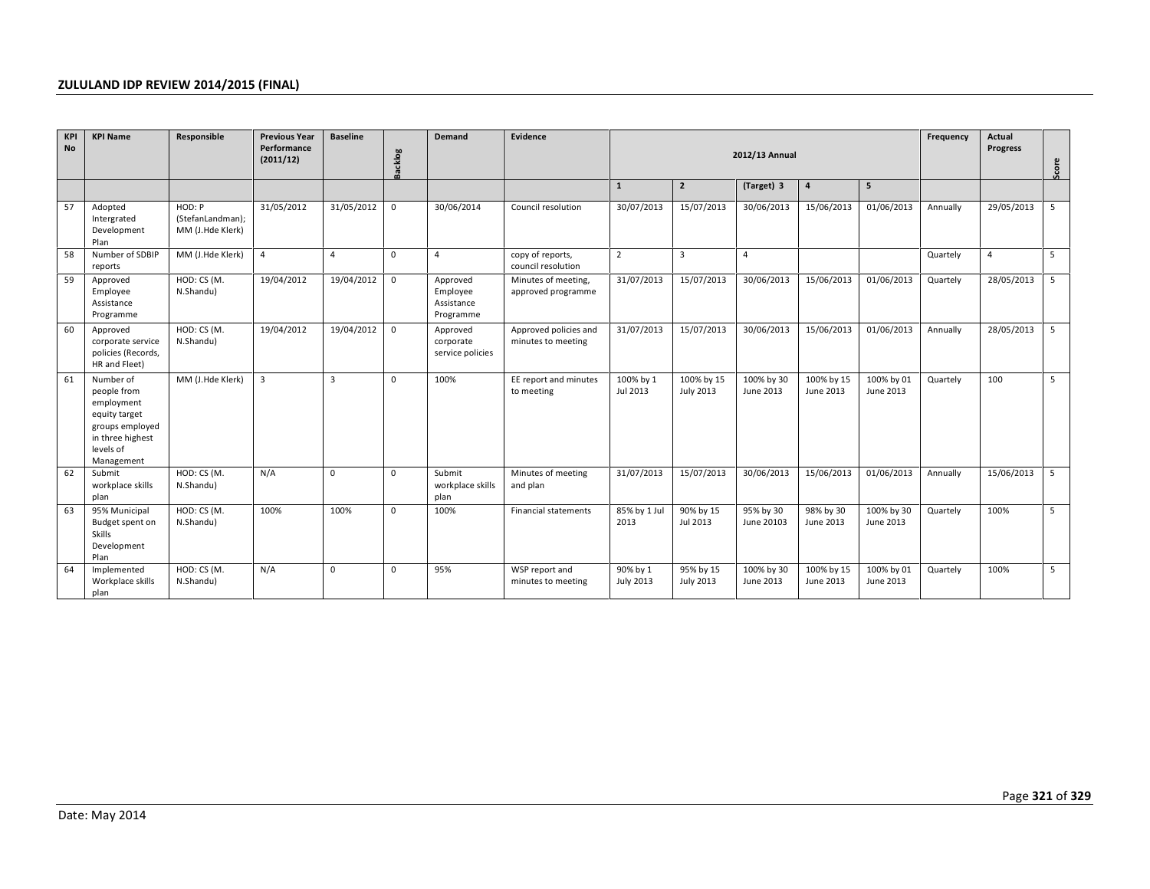| KPI<br><b>No</b> | <b>KPI Name</b>                                                                                                           | Responsible                                    | <b>Previous Year</b><br>Performance<br>(2011/12) | <b>Baseline</b> | <b>Backlog</b> | <b>Demand</b>                                   | Evidence                                    |                              | 2012/13 Annual                 |                         | Frequency               | Actual<br><b>Progress</b> | Score    |                |     |
|------------------|---------------------------------------------------------------------------------------------------------------------------|------------------------------------------------|--------------------------------------------------|-----------------|----------------|-------------------------------------------------|---------------------------------------------|------------------------------|--------------------------------|-------------------------|-------------------------|---------------------------|----------|----------------|-----|
|                  |                                                                                                                           |                                                |                                                  |                 |                |                                                 |                                             | $\mathbf{1}$                 | $\mathbf{2}$                   | (Target) 3              | $\overline{a}$          | 5                         |          |                |     |
| 57               | Adopted<br>Intergrated<br>Development<br>Plan                                                                             | HOD: P<br>(StefanLandman);<br>MM (J.Hde Klerk) | 31/05/2012                                       | 31/05/2012      | $\mathbf 0$    | 30/06/2014                                      | Council resolution                          | 30/07/2013                   | 15/07/2013                     | 30/06/2013              | 15/06/2013              | 01/06/2013                | Annually | 29/05/2013     | 5   |
| 58               | Number of SDBIP<br>reports                                                                                                | MM (J.Hde Klerk)                               | $\overline{4}$                                   | $\overline{4}$  | $\mathbf 0$    | $\overline{4}$                                  | copy of reports,<br>council resolution      | $\overline{2}$               | $\overline{3}$                 | $\overline{4}$          |                         |                           | Quartely | $\overline{4}$ | 5   |
| 59               | Approved<br>Employee<br>Assistance<br>Programme                                                                           | HOD: CS (M.<br>N.Shandu)                       | 19/04/2012                                       | 19/04/2012      | $\mathbf 0$    | Approved<br>Employee<br>Assistance<br>Programme | Minutes of meeting,<br>approved programme   | 31/07/2013                   | 15/07/2013                     | 30/06/2013              | 15/06/2013              | 01/06/2013                | Quartely | 28/05/2013     | - 5 |
| 60               | Approved<br>corporate service<br>policies (Records,<br>HR and Fleet)                                                      | HOD: CS (M.<br>N.Shandu)                       | 19/04/2012                                       | 19/04/2012      | 0              | Approved<br>corporate<br>service policies       | Approved policies and<br>minutes to meeting | 31/07/2013                   | 15/07/2013                     | 30/06/2013              | 15/06/2013              | 01/06/2013                | Annually | 28/05/2013     | 5   |
| 61               | Number of<br>people from<br>employment<br>equity target<br>groups employed<br>in three highest<br>levels of<br>Management | MM (J.Hde Klerk)                               | $\overline{3}$                                   | $\overline{3}$  | $\mathbf 0$    | 100%                                            | EE report and minutes<br>to meeting         | 100% by 1<br>Jul 2013        | 100% by 15<br><b>July 2013</b> | 100% by 30<br>June 2013 | 100% by 15<br>June 2013 | 100% by 01<br>June 2013   | Quartely | 100            | 5   |
| 62               | Submit<br>workplace skills<br>plan                                                                                        | HOD: CS (M.<br>N.Shandu)                       | N/A                                              | $\Omega$        | $\mathbf{0}$   | Submit<br>workplace skills<br>plan              | Minutes of meeting<br>and plan              | 31/07/2013                   | 15/07/2013                     | 30/06/2013              | 15/06/2013              | 01/06/2013                | Annually | 15/06/2013     | 5   |
| 63               | 95% Municipal<br>Budget spent on<br><b>Skills</b><br>Development<br>Plan                                                  | HOD: CS (M.<br>N.Shandu)                       | 100%                                             | 100%            | 0              | 100%                                            | <b>Financial statements</b>                 | 85% by 1 Jul<br>2013         | 90% by 15<br>Jul 2013          | 95% by 30<br>June 20103 | 98% by 30<br>June 2013  | 100% by 30<br>June 2013   | Quartely | 100%           | 5   |
| 64               | Implemented<br>Workplace skills<br>plan                                                                                   | HOD: CS (M.<br>N.Shandu)                       | N/A                                              | 0               | $\mathbf{0}$   | 95%                                             | WSP report and<br>minutes to meeting        | 90% by 1<br><b>July 2013</b> | 95% by 15<br><b>July 2013</b>  | 100% by 30<br>June 2013 | 100% by 15<br>June 2013 | 100% by 01<br>June 2013   | Quartely | 100%           | 5   |